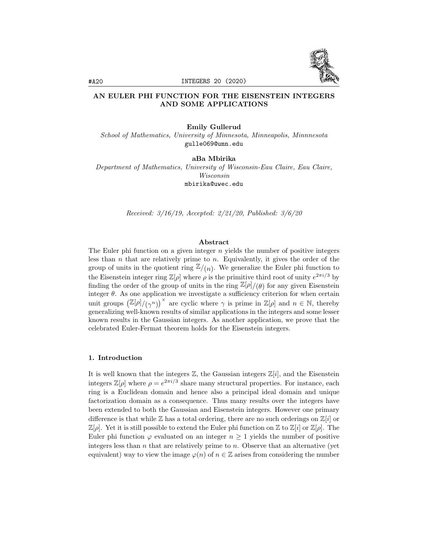

# AN EULER PHI FUNCTION FOR THE EISENSTEIN INTEGERS AND SOME APPLICATIONS

#### Emily Gullerud

School of Mathematics, University of Minnesota, Minneapolis, Minnnesota gulle069@umn.edu

aBa Mbirika Department of Mathematics, University of Wisconsin-Eau Claire, Eau Claire, Wisconsin mbirika@uwec.edu

Received: 3/16/19, Accepted: 2/21/20, Published: 3/6/20

### Abstract

The Euler phi function on a given integer  $n$  yields the number of positive integers less than  $n$  that are relatively prime to  $n$ . Equivalently, it gives the order of the group of units in the quotient ring  $\mathbb{Z}/(n)$ . We generalize the Euler phi function to the Eisenstein integer ring  $\mathbb{Z}[\rho]$  where  $\rho$  is the primitive third root of unity  $e^{2\pi i/3}$  by finding the order of the group of units in the ring  $\mathbb{Z}[\rho]/(\theta)$  for any given Eisenstein integer  $\theta$ . As one application we investigate a sufficiency criterion for when certain unit groups  $\left(\mathbb{Z}[\rho]/(\gamma^n)\right)^\times$  are cyclic where  $\gamma$  is prime in  $\mathbb{Z}[\rho]$  and  $n \in \mathbb{N}$ , thereby generalizing well-known results of similar applications in the integers and some lesser known results in the Gaussian integers. As another application, we prove that the celebrated Euler-Fermat theorem holds for the Eisenstein integers.

#### 1. Introduction

It is well known that the integers  $\mathbb{Z}$ , the Gaussian integers  $\mathbb{Z}[i]$ , and the Eisenstein integers  $\mathbb{Z}[\rho]$  where  $\rho = e^{2\pi i/3}$  share many structural properties. For instance, each ring is a Euclidean domain and hence also a principal ideal domain and unique factorization domain as a consequence. Thus many results over the integers have been extended to both the Gaussian and Eisenstein integers. However one primary difference is that while  $\mathbb Z$  has a total ordering, there are no such orderings on  $\mathbb Z[i]$  or  $\mathbb{Z}[\rho]$ . Yet it is still possible to extend the Euler phi function on  $\mathbb{Z}$  to  $\mathbb{Z}[i]$  or  $\mathbb{Z}[\rho]$ . The Euler phi function  $\varphi$  evaluated on an integer  $n \geq 1$  yields the number of positive integers less than  $n$  that are relatively prime to  $n$ . Observe that an alternative (yet equivalent) way to view the image  $\varphi(n)$  of  $n \in \mathbb{Z}$  arises from considering the number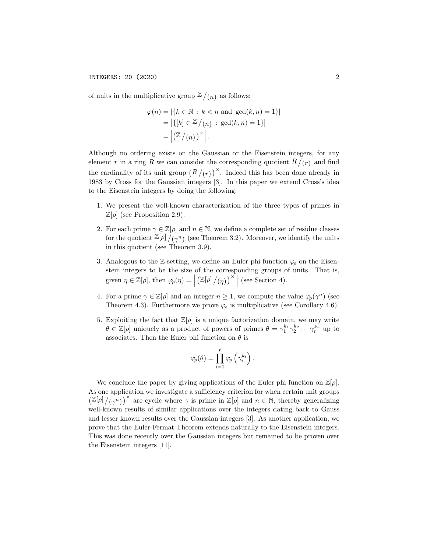of units in the multiplicative group  $\mathbb{Z}/(n)$  as follows:

$$
\varphi(n) = |\{k \in \mathbb{N} : k < n \text{ and } \gcd(k, n) = 1\}|
$$
\n
$$
= |\{[k] \in \mathbb{Z} / (n) : \gcd(k, n) = 1\}|
$$
\n
$$
= |\mathbb{Z} / (n)|^{\times} |.
$$

Although no ordering exists on the Gaussian or the Eisenstein integers, for any element r in a ring R we can consider the corresponding quotient  $R/(r)$  and find the cardinality of its unit group  $(R/(r))^{\times}$ . Indeed this has been done already in 1983 by Cross for the Gaussian integers [3]. In this paper we extend Cross's idea to the Eisenstein integers by doing the following:

- 1. We present the well-known characterization of the three types of primes in  $\mathbb{Z}[\rho]$  (see Proposition 2.9).
- 2. For each prime  $\gamma \in \mathbb{Z}[\rho]$  and  $n \in \mathbb{N}$ , we define a complete set of residue classes for the quotient  $\mathbb{Z}[\rho]/(\gamma^n)$  (see Theorem 3.2). Moreover, we identify the units in this quotient (see Theorem 3.9).
- 3. Analogous to the Z-setting, we define an Euler phi function  $\varphi$  on the Eisenstein integers to be the size of the corresponding groups of units. That is, given  $\eta \in \mathbb{Z}[\rho],$  then  $\varphi_{\rho}(\eta) = \Big|$  $\left(\mathbb{Z}[\rho]/(\eta)\right)^\times$  (see Section 4).
- 4. For a prime  $\gamma \in \mathbb{Z}[\rho]$  and an integer  $n \geq 1$ , we compute the value  $\varphi_{\rho}(\gamma^n)$  (see Theorem 4.3). Furthermore we prove  $\varphi_{\rho}$  is multiplicative (see Corollary 4.6).
- 5. Exploiting the fact that  $\mathbb{Z}[\rho]$  is a unique factorization domain, we may write  $\theta \in \mathbb{Z}[\rho]$  uniquely as a product of powers of primes  $\theta = \gamma_1^{k_1} \gamma_2^{k_2} \cdots \gamma_r^{k_r}$  up to associates. Then the Euler phi function on  $\theta$  is

$$
\varphi_{\rho}(\theta) = \prod_{i=1}^{r} \varphi_{\rho} \left( \gamma_i^{k_i} \right).
$$

We conclude the paper by giving applications of the Euler phi function on  $\mathbb{Z}[\rho]$ . As one application we investigate a sufficiency criterion for when certain unit groups  $(\mathbb{Z}[\rho]/(\gamma^n))^{\times}$  are cyclic where  $\gamma$  is prime in  $\mathbb{Z}[\rho]$  and  $n \in \mathbb{N}$ , thereby generalizing well-known results of similar applications over the integers dating back to Gauss and lesser known results over the Gaussian integers [3]. As another application, we prove that the Euler-Fermat Theorem extends naturally to the Eisenstein integers. This was done recently over the Gaussian integers but remained to be proven over the Eisenstein integers [11].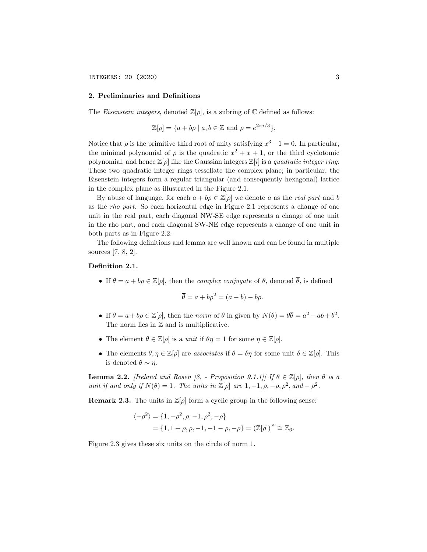#### 2. Preliminaries and Definitions

The *Eisenstein integers*, denoted  $\mathbb{Z}[\rho]$ , is a subring of  $\mathbb C$  defined as follows:

$$
\mathbb{Z}[\rho] = \{a + b\rho \mid a, b \in \mathbb{Z} \text{ and } \rho = e^{2\pi i/3}\}.
$$

Notice that  $\rho$  is the primitive third root of unity satisfying  $x^3 - 1 = 0$ . In particular, the minimal polynomial of  $\rho$  is the quadratic  $x^2 + x + 1$ , or the third cyclotomic polynomial, and hence  $\mathbb{Z}[\rho]$  like the Gaussian integers  $\mathbb{Z}[i]$  is a quadratic integer ring. These two quadratic integer rings tessellate the complex plane; in particular, the Eisenstein integers form a regular triangular (and consequently hexagonal) lattice in the complex plane as illustrated in the Figure 2.1.

By abuse of language, for each  $a + b\rho \in \mathbb{Z}[\rho]$  we denote a as the real part and b as the rho part. So each horizontal edge in Figure 2.1 represents a change of one unit in the real part, each diagonal NW-SE edge represents a change of one unit in the rho part, and each diagonal SW-NE edge represents a change of one unit in both parts as in Figure 2.2.

The following definitions and lemma are well known and can be found in multiple sources [7, 8, 2].

#### Definition 2.1.

• If  $\theta = a + b\rho \in \mathbb{Z}[\rho]$ , then the *complex conjugate* of  $\theta$ , denoted  $\overline{\theta}$ , is defined

$$
\overline{\theta} = a + b\rho^2 = (a - b) - b\rho.
$$

- If  $\theta = a + b\rho \in \mathbb{Z}[\rho]$ , then the norm of  $\theta$  in given by  $N(\theta) = \theta \overline{\theta} = a^2 ab + b^2$ . The norm lies in  $\mathbb Z$  and is multiplicative.
- The element  $\theta \in \mathbb{Z}[\rho]$  is a unit if  $\theta \eta = 1$  for some  $\eta \in \mathbb{Z}[\rho]$ .
- The elements  $\theta, \eta \in \mathbb{Z}[\rho]$  are associates if  $\theta = \delta\eta$  for some unit  $\delta \in \mathbb{Z}[\rho]$ . This is denoted  $\theta \sim \eta$ .

**Lemma 2.2.** [Ireland and Rosen [8, - Proposition 9.1.1]] If  $\theta \in \mathbb{Z}[\rho]$ , then  $\theta$  is a unit if and only if  $N(\theta) = 1$ . The units in  $\mathbb{Z}[\rho]$  are  $1, -1, \rho, -\rho, \rho^2$ , and  $-\rho^2$ .

**Remark 2.3.** The units in  $\mathbb{Z}[\rho]$  form a cyclic group in the following sense:

$$
\langle -\rho^2 \rangle = \{1, -\rho^2, \rho, -1, \rho^2, -\rho\}
$$
  
=  $\{1, 1 + \rho, \rho, -1, -1 - \rho, -\rho\} = (\mathbb{Z}[\rho])^{\times} \cong \mathbb{Z}_6.$ 

Figure 2.3 gives these six units on the circle of norm 1.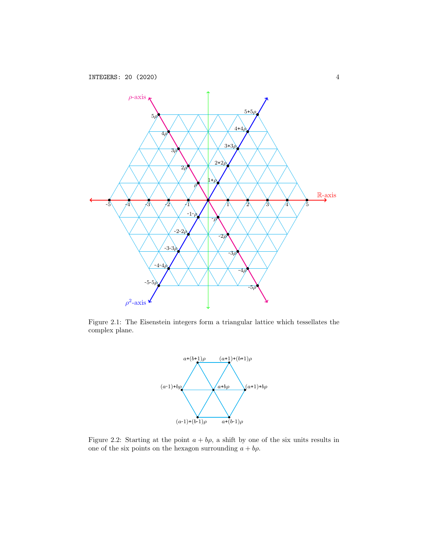

Figure 2.1: The Eisenstein integers form a triangular lattice which tessellates the complex plane.



Figure 2.2: Starting at the point  $a + b\rho$ , a shift by one of the six units results in one of the six points on the hexagon surrounding  $a + b\rho$ .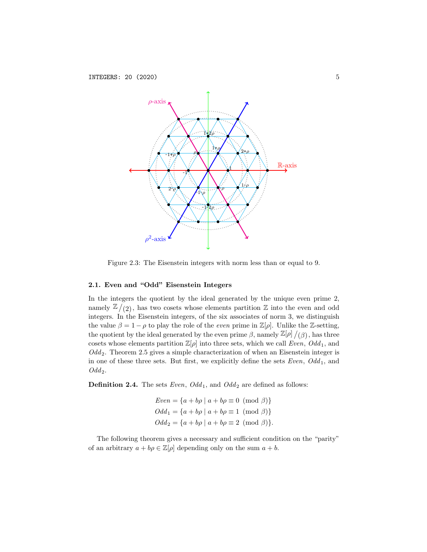

Figure 2.3: The Eisenstein integers with norm less than or equal to 9.

### 2.1. Even and "Odd" Eisenstein Integers

In the integers the quotient by the ideal generated by the unique even prime 2, namely  $\mathbb{Z}/(2)$ , has two cosets whose elements partition  $\mathbb Z$  into the even and odd integers. In the Eisenstein integers, of the six associates of norm 3, we distinguish the value  $\beta = 1 - \rho$  to play the role of the *even* prime in  $\mathbb{Z}[\rho]$ . Unlike the Z-setting, the quotient by the ideal generated by the even prime  $\beta$ , namely  $\mathbb{Z}[\rho]/(\beta)$ , has three cosets whose elements partition  $\mathbb{Z}[\rho]$  into three sets, which we call Even,  $Odd_1$ , and  $Odd_2$ . Theorem 2.5 gives a simple characterization of when an Eisenstein integer is in one of these three sets. But first, we explicitly define the sets  $Even, Odd<sub>1</sub>$ , and  $Odd_2.$ 

**Definition 2.4.** The sets *Even*,  $Odd_1$ , and  $Odd_2$  are defined as follows:

$$
Even = \{a + b\rho \mid a + b\rho \equiv 0 \pmod{\beta}\}
$$

$$
Odd_1 = \{a + b\rho \mid a + b\rho \equiv 1 \pmod{\beta}\}
$$

$$
Odd_2 = \{a + b\rho \mid a + b\rho \equiv 2 \pmod{\beta}\}.
$$

The following theorem gives a necessary and sufficient condition on the "parity" of an arbitrary  $a + b\rho \in \mathbb{Z}[\rho]$  depending only on the sum  $a + b$ .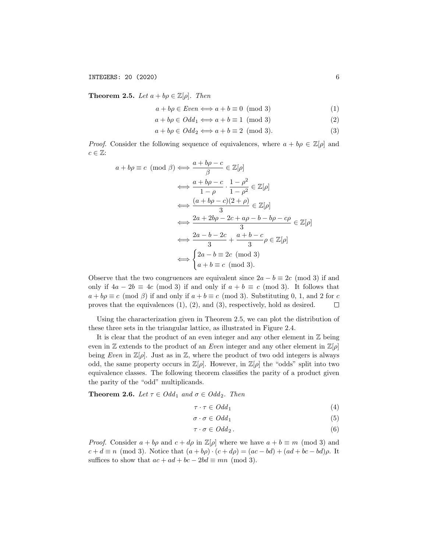**Theorem 2.5.** Let  $a + b\rho \in \mathbb{Z}[\rho]$ . Then

$$
a + b\rho \in Even \iff a + b \equiv 0 \pmod{3} \tag{1}
$$

$$
a + b\rho \in Odd_1 \Longleftrightarrow a + b \equiv 1 \pmod{3} \tag{2}
$$

$$
a + b\rho \in Odd_2 \Longleftrightarrow a + b \equiv 2 \pmod{3}.
$$
 (3)

*Proof.* Consider the following sequence of equivalences, where  $a + b\rho \in \mathbb{Z}[\rho]$  and  $c \in \mathbb{Z}$ :

$$
a + b\rho \equiv c \pmod{\beta} \iff \frac{a + b\rho - c}{\beta} \in \mathbb{Z}[\rho]
$$
  

$$
\iff \frac{a + b\rho - c}{1 - \rho} \cdot \frac{1 - \rho^2}{1 - \rho^2} \in \mathbb{Z}[\rho]
$$
  

$$
\iff \frac{(a + b\rho - c)(2 + \rho)}{3} \in \mathbb{Z}[\rho]
$$
  

$$
\iff \frac{2a + 2b\rho - 2c + a\rho - b - b\rho - c\rho}{3} \in \mathbb{Z}[\rho]
$$
  

$$
\iff \frac{2a - b - 2c}{3} + \frac{a + b - c}{3}\rho \in \mathbb{Z}[\rho]
$$
  

$$
\iff \begin{cases} 2a - b \equiv 2c \pmod{3} \\ a + b \equiv c \pmod{3}. \end{cases}
$$

Observe that the two congruences are equivalent since  $2a - b \equiv 2c \pmod{3}$  if and only if  $4a - 2b \equiv 4c \pmod{3}$  if and only if  $a + b \equiv c \pmod{3}$ . It follows that  $a + b\rho \equiv c \pmod{\beta}$  if and only if  $a + b \equiv c \pmod{3}$ . Substituting 0, 1, and 2 for c proves that the equivalences (1), (2), and (3), respectively, hold as desired.  $\Box$ 

Using the characterization given in Theorem 2.5, we can plot the distribution of these three sets in the triangular lattice, as illustrated in Figure 2.4.

It is clear that the product of an even integer and any other element in  $\mathbb Z$  being even in Z extends to the product of an *Even* integer and any other element in  $\mathbb{Z}[\rho]$ being Even in  $\mathbb{Z}[\rho]$ . Just as in  $\mathbb{Z}$ , where the product of two odd integers is always odd, the same property occurs in  $\mathbb{Z}[\rho]$ . However, in  $\mathbb{Z}[\rho]$  the "odds" split into two equivalence classes. The following theorem classifies the parity of a product given the parity of the "odd" multiplicands.

**Theorem 2.6.** Let  $\tau \in Odd_1$  and  $\sigma \in Odd_2$ . Then

$$
\tau \cdot \tau \in Odd_1 \tag{4}
$$

$$
\sigma \cdot \sigma \in Odd_1 \tag{5}
$$

$$
\tau \cdot \sigma \in Odd_2. \tag{6}
$$

*Proof.* Consider  $a + b\rho$  and  $c + d\rho$  in  $\mathbb{Z}[\rho]$  where we have  $a + b \equiv m \pmod{3}$  and  $c + d \equiv n \pmod{3}$ . Notice that  $(a + b\rho) \cdot (c + d\rho) = (ac - bd) + (ad + bc - bd)\rho$ . It suffices to show that  $ac + ad + bc - 2bd \equiv mn \pmod{3}$ .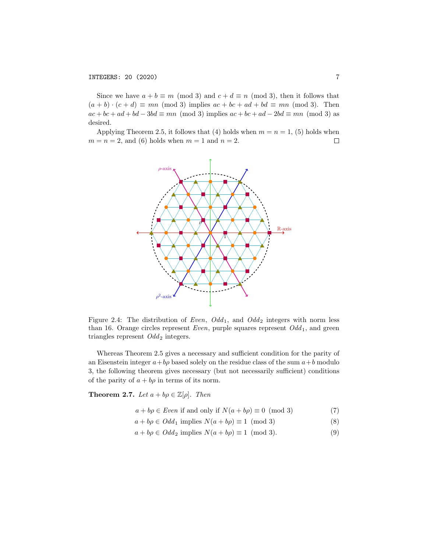Since we have  $a + b \equiv m \pmod{3}$  and  $c + d \equiv n \pmod{3}$ , then it follows that  $(a + b) \cdot (c + d) \equiv mn \pmod{3}$  implies  $ac + bc + ad + bd \equiv mn \pmod{3}$ . Then  $ac + bc + ad + bd - 3bd \equiv mn \pmod{3}$  implies  $ac + bc + ad - 2bd \equiv mn \pmod{3}$  as desired.

Applying Theorem 2.5, it follows that (4) holds when  $m = n = 1$ , (5) holds when  $m = n = 2$ , and (6) holds when  $m = 1$  and  $n = 2$ .  $\Box$ 



Figure 2.4: The distribution of Even,  $Odd_1$ , and  $Odd_2$  integers with norm less than 16. Orange circles represent Even, purple squares represent  $Odd_1$ , and green triangles represent  $Odd_2$  integers.

Whereas Theorem 2.5 gives a necessary and sufficient condition for the parity of an Eisenstein integer  $a+b\rho$  based solely on the residue class of the sum  $a+b$  modulo 3, the following theorem gives necessary (but not necessarily sufficient) conditions of the parity of  $a + b\rho$  in terms of its norm.

**Theorem 2.7.** Let  $a + b\rho \in \mathbb{Z}[\rho]$ . Then

$$
a + b\rho \in Even \text{ if and only if } N(a + b\rho) \equiv 0 \pmod{3} \tag{7}
$$

- $a + b\rho \in Odd_1$  implies  $N(a + b\rho) \equiv 1 \pmod{3}$  (8)
- $a + b\rho \in Odd_2$  implies  $N(a + b\rho) \equiv 1 \pmod{3}$ . (9)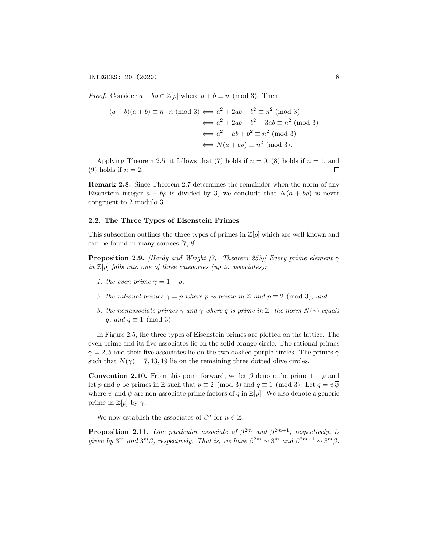*Proof.* Consider  $a + b\rho \in \mathbb{Z}[\rho]$  where  $a + b \equiv n \pmod{3}$ . Then

$$
(a+b)(a+b) \equiv n \cdot n \pmod{3} \Longleftrightarrow a^2 + 2ab + b^2 \equiv n^2 \pmod{3}
$$

$$
\Longleftrightarrow a^2 + 2ab + b^2 - 3ab \equiv n^2 \pmod{3}
$$

$$
\Longleftrightarrow a^2 - ab + b^2 \equiv n^2 \pmod{3}
$$

$$
\Longleftrightarrow N(a+b\rho) \equiv n^2 \pmod{3}.
$$

Applying Theorem 2.5, it follows that (7) holds if  $n = 0$ , (8) holds if  $n = 1$ , and (9) holds if  $n = 2$ .  $\Box$ 

Remark 2.8. Since Theorem 2.7 determines the remainder when the norm of any Eisenstein integer  $a + b\rho$  is divided by 3, we conclude that  $N(a + b\rho)$  is never congruent to 2 modulo 3.

### 2.2. The Three Types of Eisenstein Primes

This subsection outlines the three types of primes in  $\mathbb{Z}[\rho]$  which are well known and can be found in many sources [7, 8].

**Proposition 2.9.** [Hardy and Wright [7, Theorem 255]] Every prime element  $\gamma$ in  $\mathbb{Z}[\rho]$  falls into one of three categories (up to associates):

- 1. the even prime  $\gamma = 1 \rho$ ,
- 2. the rational primes  $\gamma = p$  where p is prime in Z and  $p \equiv 2 \pmod{3}$ , and
- 3. the nonassociate primes  $\gamma$  and  $\overline{\gamma}$  where q is prime in  $\mathbb{Z}$ , the norm  $N(\gamma)$  equals q, and  $q \equiv 1 \pmod{3}$ .

In Figure 2.5, the three types of Eisenstein primes are plotted on the lattice. The even prime and its five associates lie on the solid orange circle. The rational primes  $\gamma = 2, 5$  and their five associates lie on the two dashed purple circles. The primes  $\gamma$ such that  $N(\gamma) = 7, 13, 19$  lie on the remaining three dotted olive circles.

**Convention 2.10.** From this point forward, we let  $\beta$  denote the prime  $1 - \rho$  and let p and q be primes in Z such that  $p \equiv 2 \pmod{3}$  and  $q \equiv 1 \pmod{3}$ . Let  $q = \psi \overline{\psi}$ where  $\psi$  and  $\overline{\psi}$  are non-associate prime factors of q in  $\mathbb{Z}[\rho]$ . We also denote a generic prime in  $\mathbb{Z}[\rho]$  by  $\gamma$ .

We now establish the associates of  $\beta^n$  for  $n \in \mathbb{Z}$ .

**Proposition 2.11.** One particular associate of  $\beta^{2m}$  and  $\beta^{2m+1}$ , respectively, is given by  $3^m$  and  $3^m\beta$ , respectively. That is, we have  $\beta^{2m} \sim 3^m$  and  $\beta^{2m+1} \sim 3^m\beta$ .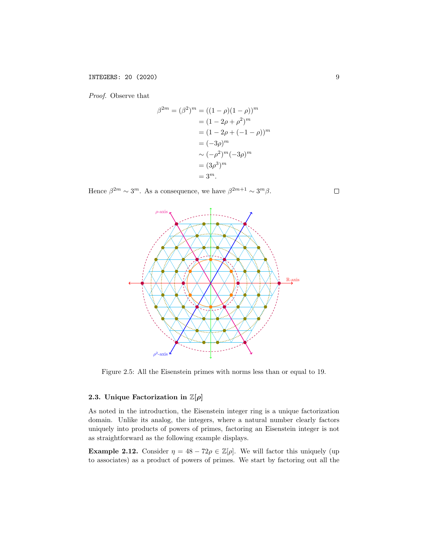Proof. Observe that

$$
\beta^{2m} = (\beta^2)^m = ((1 - \rho)(1 - \rho))^m
$$
  
=  $(1 - 2\rho + \rho^2)^m$   
=  $(1 - 2\rho + (-1 - \rho))^m$   
=  $(-3\rho)^m$   
 $\sim (-\rho^2)^m(-3\rho)^m$   
=  $(3\rho^3)^m$   
=  $3^m$ .

Hence  $\beta^{2m} \sim 3^m$ . As a consequence, we have  $\beta^{2m+1} \sim 3^m \beta$ .



Figure 2.5: All the Eisenstein primes with norms less than or equal to 19.

### 2.3. Unique Factorization in  $\mathbb{Z}[\rho]$

As noted in the introduction, the Eisenstein integer ring is a unique factorization domain. Unlike its analog, the integers, where a natural number clearly factors uniquely into products of powers of primes, factoring an Eisenstein integer is not as straightforward as the following example displays.

**Example 2.12.** Consider  $\eta = 48 - 72\rho \in \mathbb{Z}[\rho]$ . We will factor this uniquely (up to associates) as a product of powers of primes. We start by factoring out all the

 $\Box$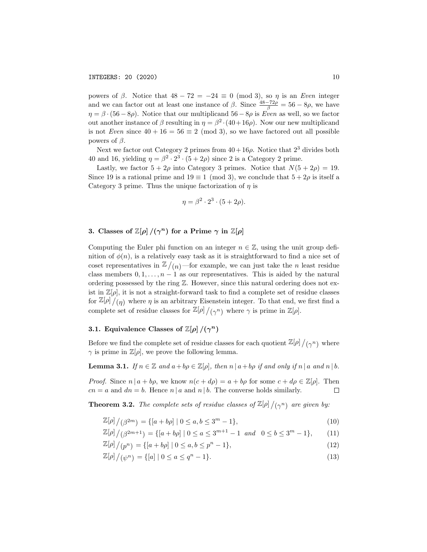powers of β. Notice that  $48 - 72 = -24 \equiv 0 \pmod{3}$ , so η is an Even integer and we can factor out at least one instance of  $\beta$ . Since  $\frac{48-72\rho}{\beta} = 56 - 8\rho$ , we have  $\eta = \beta \cdot (56 - 8\rho)$ . Notice that our multiplicand  $56 - 8\rho$  is Even as well, so we factor out another instance of  $\beta$  resulting in  $\eta = \beta^2 \cdot (40 + 16\rho)$ . Now our new multiplicand is not Even since  $40 + 16 = 56 \equiv 2 \pmod{3}$ , so we have factored out all possible powers of  $\beta$ .

Next we factor out Category 2 primes from  $40+16\rho$ . Notice that  $2^3$  divides both 40 and 16, yielding  $\eta = \beta^2 \cdot 2^3 \cdot (5 + 2\rho)$  since 2 is a Category 2 prime.

Lastly, we factor  $5 + 2\rho$  into Category 3 primes. Notice that  $N(5 + 2\rho) = 19$ . Since 19 is a rational prime and  $19 \equiv 1 \pmod{3}$ , we conclude that  $5 + 2\rho$  is itself a Category 3 prime. Thus the unique factorization of  $\eta$  is

$$
\eta = \beta^2 \cdot 2^3 \cdot (5 + 2\rho).
$$

# 3. Classes of  $\mathbb{Z}[\rho]/(\gamma^n)$  for a Prime  $\gamma$  in  $\mathbb{Z}[\rho]$

Computing the Euler phi function on an integer  $n \in \mathbb{Z}$ , using the unit group definition of  $\phi(n)$ , is a relatively easy task as it is straightforward to find a nice set of coset representatives in  $\mathbb{Z}/(n)$ —for example, we can just take the *n* least residue class members  $0, 1, \ldots, n-1$  as our representatives. This is aided by the natural ordering possessed by the ring Z. However, since this natural ordering does not exist in  $\mathbb{Z}[\rho]$ , it is not a straight-forward task to find a complete set of residue classes for  $\mathbb{Z}[\rho]/(\eta)$  where  $\eta$  is an arbitrary Eisenstein integer. To that end, we first find a complete set of residue classes for  $\mathbb{Z}[\rho]/(\gamma^n)$  where  $\gamma$  is prime in  $\mathbb{Z}[\rho].$ 

# 3.1. Equivalence Classes of  $\mathbb{Z}[\rho]/(\gamma^n)$

Before we find the complete set of residue classes for each quotient  $\mathbb{Z}[\rho]/(\gamma^n)$  where  $\gamma$  is prime in  $\mathbb{Z}[\rho]$ , we prove the following lemma.

**Lemma 3.1.** If  $n \in \mathbb{Z}$  and  $a + b\rho \in \mathbb{Z}[\rho]$ , then  $n \mid a + b\rho$  if and only if  $n \mid a$  and  $n \mid b$ .

*Proof.* Since  $n | a + b\rho$ , we know  $n(c + d\rho) = a + b\rho$  for some  $c + d\rho \in \mathbb{Z}[\rho]$ . Then  $cn = a$  and  $dn = b$ . Hence  $n | a$  and  $n | b$ . The converse holds similarly.  $\Box$ 

**Theorem 3.2.** The complete sets of residue classes of  $\mathbb{Z}[\rho]/(\gamma^n)$  are given by:

$$
\mathbb{Z}[\rho]/(\beta^{2m}) = \{ [a+b\rho] \mid 0 \le a, b \le 3^m - 1 \},\tag{10}
$$

$$
\mathbb{Z}[\rho]/(\beta^{2m+1}) = \{ [a+b\rho] \mid 0 \le a \le 3^{m+1} - 1 \text{ and } 0 \le b \le 3^m - 1 \},\qquad(11)
$$

$$
\mathbb{Z}[\rho]/(p^n) = \{ [a+b\rho] \mid 0 \le a, b \le p^n - 1 \},\tag{12}
$$

$$
\mathbb{Z}[\rho]/(\psi^n) = \{ [a] \mid 0 \le a \le q^n - 1 \}. \tag{13}
$$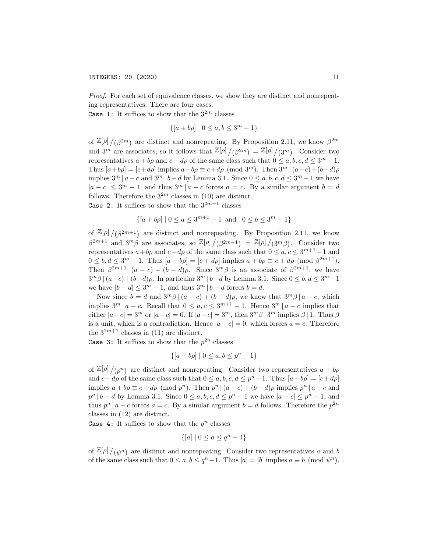Proof. For each set of equivalence classes, we show they are distinct and nonrepeating representatives. There are four cases.

Case 1: It suffices to show that the  $3^{2m}$  classes

$$
\{ [a + b\rho] \mid 0 \le a, b \le 3^m - 1 \}
$$

of  $\mathbb{Z}[\rho]/(\beta^{2m})$  are distinct and nonrepeating. By Proposition 2.11, we know  $\beta^{2m}$ and  $3^m$  are associates, so it follows that  $\mathbb{Z}[\rho]/(\beta^{2m}) = \mathbb{Z}[\rho]/(3^m)$ . Consider two representatives  $a + b\rho$  and  $c + d\rho$  of the same class such that  $0 \le a, b, c, d \le 3^m - 1$ . Thus  $[a+b\rho] = [c+d\rho]$  implies  $a+b\rho \equiv c+d\rho \pmod{3^m}$ . Then  $3^m \mid (a-c)+(b-d)\rho$ implies  $3^m \mid a - c$  and  $3^m \mid b - d$  by Lemma 3.1. Since  $0 \le a, b, c, d \le 3^m - 1$  we have  $|a - c| \leq 3^m - 1$ , and thus  $3^m |a - c$  forces  $a = c$ . By a similar argument  $b = d$ follows. Therefore the  $3^{2m}$  classes in (10) are distinct.

Case 2: It suffices to show that the  $3^{2m+1}$  classes

$$
\{ [a+b\rho] \mid 0 \le a \le 3^{m+1} - 1 \text{ and } 0 \le b \le 3^m - 1 \}
$$

of  $\mathbb{Z}[\rho]/(\beta^{2m+1})$  are distinct and nonrepeating. By Proposition 2.11, we know  $\beta^{2m+1}$  and  $3^m\beta$  are associates, so  $\mathbb{Z}[\rho]/(\beta^{2m+1}) = \mathbb{Z}[\rho]/(3^m\beta)$ . Consider two representatives  $a+b\rho$  and  $c+d\rho$  of the same class such that  $0 \le a, c \le 3^{m+1}-1$  and  $0 \leq b, d \leq 3^m - 1$ . Thus  $[a + b\rho] = [c + d\rho]$  implies  $a + b\rho \equiv c + d\rho \pmod{\beta^{2m+1}}$ . Then  $\beta^{2m+1} \mid (a-c) + (b-d)\rho$ . Since  $3^m\beta$  is an associate of  $\beta^{2m+1}$ , we have  $3^m\beta \mid (a-c)+(b-d)\rho$ . In particular  $3^m \mid b-d$  by Lemma 3.1. Since  $0 \leq b, d \leq 3^m-1$ we have  $|b - d| \leq 3^m - 1$ , and thus  $3^m | b - d$  forces  $b = d$ .

Now since  $b = d$  and  $3^m\beta \mid (a - c) + (b - d)\rho$ , we know that  $3^m\beta \mid a - c$ , which implies  $3^m | a - c$ . Recall that  $0 \le a, c \le 3^{m+1} - 1$ . Hence  $3^m | a - c$  implies that either  $|a-c|=3^m$  or  $|a-c|=0$ . If  $|a-c|=3^m$ , then  $3^m\beta \,|\, 3^m$  implies  $\beta \,|\, 1$ . Thus  $\beta$ is a unit, which is a contradiction. Hence  $|a - c| = 0$ , which forces  $a = c$ . Therefore the  $3^{2m+1}$  classes in (11) are distinct.

Case 3: It suffices to show that the  $p^{2n}$  classes

$$
\{ [a + b\rho] \mid 0 \le a, b \le p^n - 1 \}
$$

of  $\mathbb{Z}[\rho]/(p^n)$  are distinct and nonrepeating. Consider two representatives  $a + b\rho$ and  $c+d\rho$  of the same class such that  $0 \le a, b, c, d \le p^{n}-1$ . Thus  $[a+b\rho] = [c+d\rho]$ implies  $a + b\rho \equiv c + d\rho \pmod{p^n}$ . Then  $p^n | (a - c) + (b - d)\rho$  implies  $p^n | a - c$  and  $p^{n} | b - d$  by Lemma 3.1. Since  $0 \le a, b, c, d \le p^{n} - 1$  we have  $|a - c| \le p^{n} - 1$ , and thus  $p^{n} | a - c$  forces  $a = c$ . By a similar argument  $b = d$  follows. Therefore the  $p^{2n}$ classes in (12) are distinct.

Case 4: It suffices to show that the  $q^n$  classes

$$
\{ [a] \mid 0 \le a \le q^n - 1 \}
$$

of  $\mathbb{Z}[\rho]/(\psi^n)$  are distinct and nonrepeating. Consider two representatives a and b of the same class such that  $0 \le a, b \le q^n - 1$ . Thus  $[a] = [b]$  implies  $a \equiv b \pmod{\psi^n}$ .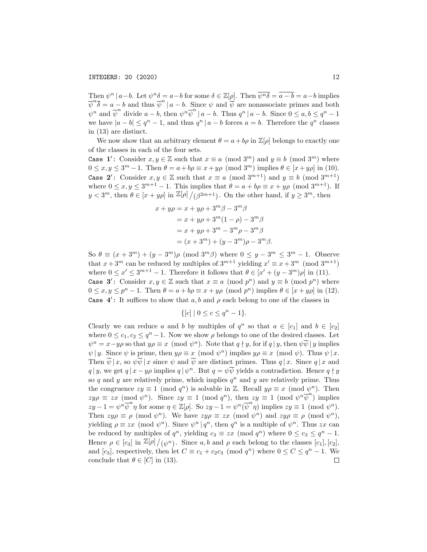Then  $\psi^n \mid a-b$ . Let  $\psi^n \delta = a-b$  for some  $\delta \in \mathbb{Z}[\rho]$ . Then  $\overline{\psi^n \delta} = \overline{a-b} = a-b$  implies  $\overline{\psi}^n \overline{\delta} = a - b$  and thus  $\overline{\psi}^n | a - b$ . Since  $\psi$  and  $\overline{\psi}$  are nonassociate primes and both  $\psi^n$  and  $\overline{\psi}^n$  divide  $a-b$ , then  $\psi^n \overline{\psi}^n \mid a-b$ . Thus  $q^n \mid a-b$ . Since  $0 \le a, b \le q^n - 1$ we have  $|a - b| \leq q^n - 1$ , and thus  $q^n | a - b$  forces  $a = b$ . Therefore the  $q^n$  classes in (13) are distinct.

We now show that an arbitrary element  $\theta = a + b\rho$  in  $\mathbb{Z}[\rho]$  belongs to exactly one of the classes in each of the four sets.

Case 1': Consider  $x, y \in \mathbb{Z}$  such that  $x \equiv a \pmod{3^m}$  and  $y \equiv b \pmod{3^m}$  where  $0 \le x, y \le 3^m - 1$ . Then  $\theta = a + b\rho \equiv x + y\rho \pmod{3^m}$  implies  $\theta \in [x + y\rho]$  in (10). Case 2': Consider  $x, y \in \mathbb{Z}$  such that  $x \equiv a \pmod{3^{m+1}}$  and  $y \equiv b \pmod{3^{m+1}}$ where  $0 \le x, y \le 3^{m+1} - 1$ . This implies that  $\theta = a + b\rho \equiv x + y\rho \pmod{3^{m+1}}$ . If  $y < 3^m$ , then  $\theta \in [x + y\rho]$  in  $\mathbb{Z}[\rho]/(\beta^{2m+1})$ . On the other hand, if  $y \geq 3^m$ , then

$$
x + y\rho = x + y\rho + 3^{m}\beta - 3^{m}\beta
$$
  
=  $x + y\rho + 3^{m}(1 - \rho) - 3^{m}\beta$   
=  $x + y\rho + 3^{m} - 3^{m}\rho - 3^{m}\beta$   
=  $(x + 3^{m}) + (y - 3^{m})\rho - 3^{m}\beta$ .

So  $\theta \equiv (x+3^m)+(y-3^m)\rho \pmod{3^m\beta}$  where  $0 \leq y-3^m \leq 3^m-1$ . Observe that  $x + 3^m$  can be reduced by multiples of  $3^{m+1}$  yielding  $x' \equiv x + 3^m \pmod{3^{m+1}}$ where  $0 \leq x' \leq 3^{m+1} - 1$ . Therefore it follows that  $\theta \in [x' + (y - 3^m)\rho]$  in (11). Case 3': Consider  $x, y \in \mathbb{Z}$  such that  $x \equiv a \pmod{p^n}$  and  $y \equiv b \pmod{p^n}$  where  $0 \le x, y \le p^{n} - 1$ . Then  $\theta = a + b\rho \equiv x + y\rho \pmod{p^{n}}$  implies  $\theta \in [x + y\rho]$  in (12). Case  $4'$ : It suffices to show that  $a, b$  and  $\rho$  each belong to one of the classes in

$$
\{ [c] \mid 0 \le c \le q^n - 1 \}.
$$

Clearly we can reduce a and b by multiples of  $q^n$  so that  $a \in [c_1]$  and  $b \in [c_2]$ where  $0 \leq c_1, c_2 \leq q^n - 1$ . Now we show  $\rho$  belongs to one of the desired classes. Let  $\psi^n = x - y\rho$  so that  $y\rho \equiv x \pmod{\psi^n}$ . Note that  $q \nmid y$ , for if  $q \mid y$ , then  $\psi \overline{\psi} \mid y$  implies  $\psi | y$ . Since  $\psi$  is prime, then  $y \rho \equiv x \pmod{\psi^n}$  implies  $y \rho \equiv x \pmod{\psi}$ . Thus  $\psi | x$ . Then  $\psi | x$ , so  $\psi \psi | x$  since  $\psi$  and  $\psi$  are distinct primes. Thus  $q | x$ . Since  $q | x$  and q | y, we get  $q | x - y\rho$  implies  $q | \psi^n$ . But  $q = \psi \overline{\psi}$  yields a contradiction. Hence  $q \nmid y$ so q and y are relatively prime, which implies  $q^n$  and y are relatively prime. Thus the congruence  $zy \equiv 1 \pmod{q^n}$  is solvable in Z. Recall  $y\rho \equiv x \pmod{\psi^n}$ . Then  $z y \rho \equiv z x \pmod{\psi^n}$ . Since  $z y \equiv 1 \pmod{q^n}$ , then  $z y \equiv 1 \pmod{\psi^n \overline{\psi^n}}$  implies  $zy-1=\psi^n\overline{\psi}^n\eta$  for some  $\eta\in\mathbb{Z}[\rho]$ . So  $zy-1=\psi^n(\overline{\psi}^n\eta)$  implies  $zy\equiv 1\pmod{\psi^n}$ . Then  $z y \rho \equiv \rho \pmod{\psi^n}$ . We have  $z y \rho \equiv z x \pmod{\psi^n}$  and  $z y \rho \equiv \rho \pmod{\psi^n}$ , yielding  $\rho \equiv zx \pmod{\psi^n}$ . Since  $\psi^n | q^n$ , then  $q^n$  is a multiple of  $\psi^n$ . Thus  $zx$  can be reduced by multiples of  $q^n$ , yielding  $c_3 \equiv zx \pmod{q^n}$  where  $0 \le c_3 \le q^n - 1$ . Hence  $\rho \in [c_3]$  in  $\mathbb{Z}[\rho]/(\psi^n)$ . Since a, b and  $\rho$  each belong to the classes  $[c_1], [c_2]$ , and  $[c_3]$ , respectively, then let  $C \equiv c_1 + c_2 c_3 \pmod{q^n}$  where  $0 \le C \le q^n - 1$ . We conclude that  $\theta \in [C]$  in (13).  $\Box$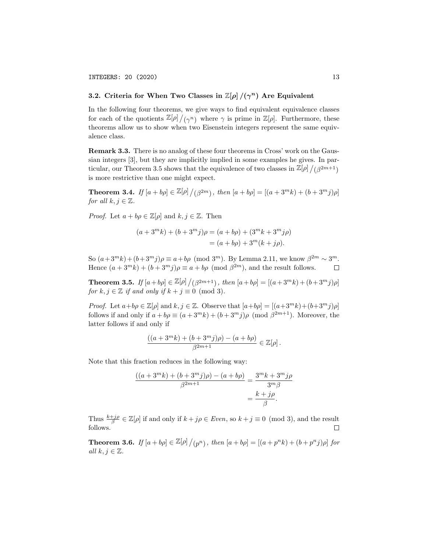# 3.2. Criteria for When Two Classes in  $\mathbb{Z}[\rho]/(\gamma^n)$  Are Equivalent

In the following four theorems, we give ways to find equivalent equivalence classes for each of the quotients  $\mathbb{Z}[\rho]/(\gamma^n)$  where  $\gamma$  is prime in  $\mathbb{Z}[\rho]$ . Furthermore, these theorems allow us to show when two Eisenstein integers represent the same equivalence class.

Remark 3.3. There is no analog of these four theorems in Cross' work on the Gaussian integers [3], but they are implicitly implied in some examples he gives. In particular, our Theorem 3.5 shows that the equivalence of two classes in  $\mathbb{Z}[\rho]/(\beta^{2m+1})$ is more restrictive than one might expect.

**Theorem 3.4.** If  $[a + b\rho] \in \mathbb{Z}[\rho] / (\beta^{2m})$ , then  $[a + b\rho] = [(a + 3^m k) + (b + 3^m j)\rho]$ for all  $k, j \in \mathbb{Z}$ .

*Proof.* Let  $a + b\rho \in \mathbb{Z}[\rho]$  and  $k, j \in \mathbb{Z}$ . Then

$$
(a+3^m k) + (b+3^m j)\rho = (a+b\rho) + (3^m k + 3^m j\rho)
$$
  
=  $(a+b\rho) + 3^m (k+j\rho).$ 

So  $(a+3^m k)+(b+3^m j)\rho \equiv a+b\rho \pmod{3^m}$ . By Lemma 2.11, we know  $\beta^{2m} \sim 3^m$ . Hence  $(a+3^m k) + (b+3^m j)\rho \equiv a + b\rho \pmod{\beta^{2m}}$ , and the result follows.  $\Box$ 

**Theorem 3.5.** If  $[a + b\rho] \in \mathbb{Z}[\rho] / (\beta^{2m+1})$ , then  $[a + b\rho] = [(a + 3^m k) + (b + 3^m j)\rho]$ for  $k, j \in \mathbb{Z}$  if and only if  $k + j \equiv 0 \pmod{3}$ .

*Proof.* Let  $a+b\rho \in \mathbb{Z}[\rho]$  and  $k, j \in \mathbb{Z}$ . Observe that  $[a+b\rho] = [(a+3^m k)+(b+3^m j)\rho]$ follows if and only if  $a + b\rho \equiv (a + 3^m k) + (b + 3^m j)\rho \pmod{\beta^{2m+1}}$ . Moreover, the latter follows if and only if

$$
\frac{((a+3^mk)+(b+3^mj)\rho)-(a+b\rho)}{\beta^{2m+1}}\in\mathbb{Z}[\rho]\,.
$$

Note that this fraction reduces in the following way:

$$
\frac{((a+3^m k)+(b+3^m j)\rho)-(a+b\rho)}{\beta^{2m+1}} = \frac{3^m k + 3^m j\rho}{3^m \beta} = \frac{k+j\rho}{\beta}.
$$

Thus  $\frac{k+j\rho}{\beta} \in \mathbb{Z}[\rho]$  if and only if  $k + j\rho \in Even$ , so  $k + j \equiv 0 \pmod{3}$ , and the result follows.  $\Box$ 

**Theorem 3.6.** If  $[a + b\rho] \in \mathbb{Z}[\rho]/(p^n)$ , then  $[a + b\rho] = [(a + p^n k) + (b + p^n j)\rho]$  for all  $k, j \in \mathbb{Z}$ .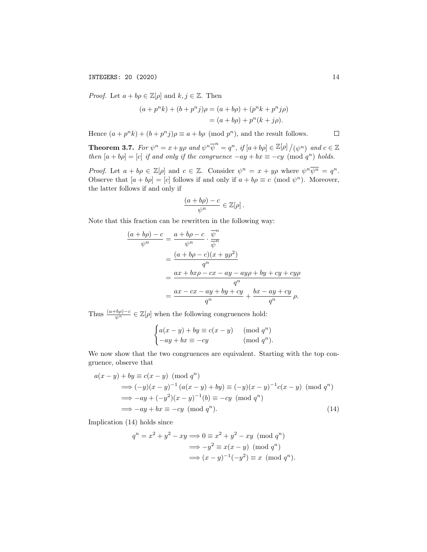*Proof.* Let  $a + b\rho \in \mathbb{Z}[\rho]$  and  $k, j \in \mathbb{Z}$ . Then

$$
(a + pnk) + (b + pnj)\rho = (a + b\rho) + (pnk + pnj\rho)
$$
  
= (a + b\rho) + p<sup>n</sup>(k + j\rho).

Hence  $(a+p^nk)+(b+p^nj)\rho \equiv a+b\rho \pmod{p^n}$ , and the result follows.

**Theorem 3.7.** For  $\psi^n = x + y\rho$  and  $\psi^n \overline{\psi}^n = q^n$ , if  $[a + b\rho] \in \mathbb{Z}[\rho] / (\psi^n)$  and  $c \in \mathbb{Z}$ then  $[a + b\rho] = [c]$  if and only if the congruence  $-ay + bx \equiv -cy \pmod{q^n}$  holds.

Proof. Let  $a + b\rho \in \mathbb{Z}[\rho]$  and  $c \in \mathbb{Z}$ . Consider  $\psi^n = x + y\rho$  where  $\psi^n \overline{\psi^n} = q^n$ . Observe that  $[a + b\rho] = [c]$  follows if and only if  $a + b\rho \equiv c \pmod{\psi^n}$ . Moreover, the latter follows if and only if

$$
\frac{(a+b\rho)-c}{\psi^n}\in\mathbb{Z}[\rho].
$$

Note that this fraction can be rewritten in the following way:

$$
\frac{(a+b\rho)-c}{\psi^n} = \frac{a+b\rho-c}{\psi^n} \cdot \frac{\overline{\psi}^n}{\overline{\psi}^n}
$$
  
= 
$$
\frac{(a+b\rho-c)(x+y\rho^2)}{q^n}
$$
  
= 
$$
\frac{ax+bx\rho-cx-ay-ay\rho+by+cy+cy\rho}{q^n}
$$
  
= 
$$
\frac{ax-cx-ay+by+cy}{q^n} + \frac{bx-ay+cy}{q^n} \rho.
$$

Thus  $\frac{(a+b\rho)-c}{\psi^n} \in \mathbb{Z}[\rho]$  when the following congruences hold:

$$
\begin{cases} a(x-y) + by \equiv c(x-y) & (\text{mod } q^n) \\ -ay + bx \equiv -cy & (\text{mod } q^n). \end{cases}
$$

We now show that the two congruences are equivalent. Starting with the top congruence, observe that

$$
a(x - y) + by \equiv c(x - y) \pmod{q^n}
$$
  
\n
$$
\implies (-y)(x - y)^{-1} (a(x - y) + by) \equiv (-y)(x - y)^{-1} c(x - y) \pmod{q^n}
$$
  
\n
$$
\implies -ay + (-y^2)(x - y)^{-1}(b) \equiv -cy \pmod{q^n}
$$
  
\n
$$
\implies -ay + bx \equiv -cy \pmod{q^n}.
$$
\n(14)

Implication (14) holds since

$$
q^{n} = x^{2} + y^{2} - xy \Longrightarrow 0 \equiv x^{2} + y^{2} - xy \pmod{q^{n}}
$$

$$
\Longrightarrow -y^{2} \equiv x(x - y) \pmod{q^{n}}
$$

$$
\Longrightarrow (x - y)^{-1}(-y^{2}) \equiv x \pmod{q^{n}}.
$$

 $\Box$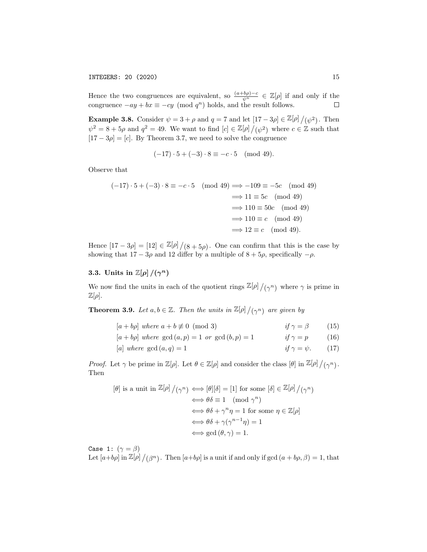Hence the two congruences are equivalent, so  $\frac{(a+b\rho)-c}{\psi^n} \in \mathbb{Z}[\rho]$  if and only if the congruence  $-ay + bx \equiv -cy \pmod{q^n}$  holds, and the result follows.

**Example 3.8.** Consider  $\psi = 3 + \rho$  and  $q = 7$  and let  $[17 - 3\rho] \in \mathbb{Z}[\rho]/(\psi^2)$ . Then  $\psi^2 = 8 + 5\rho$  and  $q^2 = 49$ . We want to find  $[c] \in \mathbb{Z}[\rho]/(\psi^2)$  where  $c \in \mathbb{Z}$  such that  $[17 - 3\rho] = [c]$ . By Theorem 3.7, we need to solve the congruence

$$
(-17) \cdot 5 + (-3) \cdot 8 \equiv -c \cdot 5 \pmod{49}.
$$

Observe that

$$
(-17) \cdot 5 + (-3) \cdot 8 \equiv -c \cdot 5 \pmod{49} \implies -109 \equiv -5c \pmod{49}
$$

$$
\implies 11 \equiv 5c \pmod{49}
$$

$$
\implies 110 \equiv 50c \pmod{49}
$$

$$
\implies 110 \equiv c \pmod{49}
$$

$$
\implies 12 \equiv c \pmod{49}.
$$

Hence  $[17-3\rho] = [12] \in \mathbb{Z}[\rho]/(8+5\rho)$ . One can confirm that this is the case by showing that  $17 - 3\rho$  and 12 differ by a multiple of  $8 + 5\rho$ , specifically  $-\rho$ .

# 3.3. Units in  $\mathbb{Z}[\rho]/(\gamma^n)$

We now find the units in each of the quotient rings  $\mathbb{Z}[\rho]/(\gamma^n)$  where  $\gamma$  is prime in  $\mathbb{Z}[\rho].$ 

**Theorem 3.9.** Let  $a, b \in \mathbb{Z}$ . Then the units in  $\mathbb{Z}[\rho]/(\gamma^n)$  are given by

| $[a + b\rho]$ where $a + b \not\equiv 0 \pmod{3}$      | if $\gamma = \beta$       | (15) |
|--------------------------------------------------------|---------------------------|------|
| $[a + b\rho]$ where $gcd(a, p) = 1$ or $gcd(b, p) = 1$ | if $\gamma = p$           | (16) |
| [a] where $gcd(a,q) = 1$                               | if $\gamma = \psi$ . (17) |      |

*Proof.* Let  $\gamma$  be prime in  $\mathbb{Z}[\rho]$ . Let  $\theta \in \mathbb{Z}[\rho]$  and consider the class  $[\theta]$  in  $\mathbb{Z}[\rho]/(\gamma^n)$ . Then

$$
[\theta] \text{ is a unit in } \mathbb{Z}[\rho] / (\gamma^n) \iff [\theta][\delta] = [1] \text{ for some } [\delta] \in \mathbb{Z}[\rho] / (\gamma^n)
$$

$$
\iff \theta\delta \equiv 1 \pmod{\gamma^n}
$$

$$
\iff \theta\delta + \gamma^n \eta = 1 \text{ for some } \eta \in \mathbb{Z}[\rho]
$$

$$
\iff \theta\delta + \gamma(\gamma^{n-1}\eta) = 1
$$

$$
\iff \gcd(\theta, \gamma) = 1.
$$

Case 1:  $(\gamma = \beta)$ Let  $[a+b\rho]$  in  $\mathbb{Z}[\rho]/(\beta^n)$ . Then  $[a+b\rho]$  is a unit if and only if  $gcd(a+b\rho,\beta)=1$ , that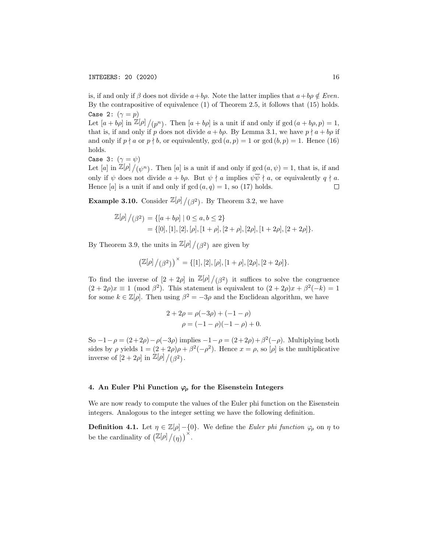is, if and only if  $\beta$  does not divide  $a+b\rho$ . Note the latter implies that  $a+b\rho \notin Even$ . By the contrapositive of equivalence (1) of Theorem 2.5, it follows that (15) holds. Case 2:  $(\gamma = p)$ 

Let  $[a + b\rho]$  in  $\mathbb{Z}[\rho]/(p^n)$ . Then  $[a + b\rho]$  is a unit if and only if  $gcd(a + b\rho, p) = 1$ , that is, if and only if p does not divide  $a + bp$ . By Lemma 3.1, we have  $p \nmid a + bp$  if and only if  $p \nmid a$  or  $p \nmid b$ , or equivalently,  $gcd(a, p) = 1$  or  $gcd(b, p) = 1$ . Hence (16) holds.

Case 3: 
$$
(\gamma = \psi)
$$

Let [a] in  $\mathbb{Z}[\rho]/(\psi^n)$ . Then [a] is a unit if and only if  $gcd(a, \psi) = 1$ , that is, if and only if  $\psi$  does not divide  $a + b\rho$ . But  $\psi \nmid a$  implies  $\psi \overline{\psi} \nmid a$ , or equivalently  $q \nmid a$ . Hence [a] is a unit if and only if  $gcd(a, q) = 1$ , so (17) holds.  $\Box$ 

**Example 3.10.** Consider  $\mathbb{Z}[\rho]/(\beta^2)$ . By Theorem 3.2, we have

$$
\mathbb{Z}[\rho]/(\beta^2) = \{ [a+b\rho] \mid 0 \le a, b \le 2 \}
$$
  
= \{ [0], [1], [2], [\rho], [1+\rho], [2+\rho], [2\rho], [1+2\rho], [2+2\rho] \}.

By Theorem 3.9, the units in  $\mathbb{Z}[\rho]/(\beta^2)$  are given by

$$
\left(\mathbb{Z}[\rho]\left/\left(\beta^2\right)\right.\right)^{\times}=\{[1],[2],[\rho],[1+\rho],[2\rho],[2+2\rho]\}.
$$

To find the inverse of  $\left[2+2\rho\right]$  in  $\mathbb{Z}[\rho]/(\beta^2)$  it suffices to solve the congruence  $(2+2\rho)x \equiv 1 \pmod{\beta^2}$ . This statement is equivalent to  $(2+2\rho)x + \beta^2(-k) = 1$ for some  $k \in \mathbb{Z}[\rho]$ . Then using  $\beta^2 = -3\rho$  and the Euclidean algorithm, we have

$$
2 + 2\rho = \rho(-3\rho) + (-1 - \rho)
$$
  

$$
\rho = (-1 - \rho)(-1 - \rho) + 0.
$$

So  $-1 - \rho = (2 + 2\rho) - \rho(-3\rho)$  implies  $-1 - \rho = (2 + 2\rho) + \beta^2(-\rho)$ . Multiplying both sides by  $\rho$  yields  $1 = (2 + 2\rho)\rho + \beta^2(-\rho^2)$ . Hence  $x = \rho$ , so  $[\rho]$  is the multiplicative inverse of  $[2+2\rho]$  in  $\mathbb{Z}[\rho]/(\beta^2)$ .

### 4. An Euler Phi Function  $\varphi$  for the Eisenstein Integers

We are now ready to compute the values of the Euler phi function on the Eisenstein integers. Analogous to the integer setting we have the following definition.

**Definition 4.1.** Let  $\eta \in \mathbb{Z}[\rho] - \{0\}$ . We define the *Euler phi function*  $\varphi_{\rho}$  on  $\eta$  to be the cardinality of  $\left(\mathbb{Z}[\rho]/(\eta)\right)^{\times}$ .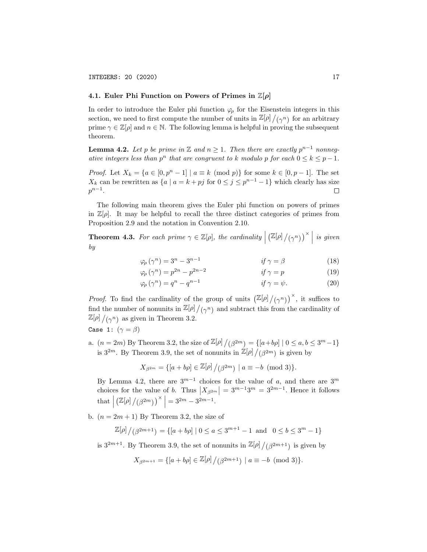### 4.1. Euler Phi Function on Powers of Primes in  $\mathbb{Z}[\rho]$

In order to introduce the Euler phi function  $\varphi$  for the Eisenstein integers in this section, we need to first compute the number of units in  $\mathbb{Z}[\rho]/(\gamma^n)$  for an arbitrary prime  $\gamma \in \mathbb{Z}[\rho]$  and  $n \in \mathbb{N}$ . The following lemma is helpful in proving the subsequent theorem.

**Lemma 4.2.** Let p be prime in  $\mathbb{Z}$  and  $n \geq 1$ . Then there are exactly  $p^{n-1}$  nonnegative integers less than  $p^n$  that are congruent to k modulo p for each  $0 \le k \le p-1$ .

*Proof.* Let  $X_k = \{a \in [0, p^n - 1] \mid a \equiv k \pmod{p}\}$  for some  $k \in [0, p - 1]$ . The set  $X_k$  can be rewritten as  $\{a \mid a = k + pj$  for  $0 \le j \le p^{n-1} - 1\}$  which clearly has size  $p^{n-1}$ .  $\Box$ 

The following main theorem gives the Euler phi function on powers of primes in  $\mathbb{Z}[\rho]$ . It may be helpful to recall the three distinct categories of primes from Proposition 2.9 and the notation in Convention 2.10.

**Theorem 4.3.** For each prime  $\gamma \in \mathbb{Z}[\rho]$ , the cardinality  $\vert$  $\left(\mathbb{Z}[\rho]/(\gamma^n)\right)^\times$  is given by

$$
\varphi_{\rho}(\gamma^n) = 3^n - 3^{n-1} \qquad \qquad \text{if } \gamma = \beta \tag{18}
$$

$$
\varphi_{\rho}(\gamma^n) = p^{2n} - p^{2n-2} \qquad \qquad \text{if } \gamma = p \tag{19}
$$

$$
\varphi_{\rho}(\gamma^n) = q^n - q^{n-1} \qquad \qquad \text{if } \gamma = \psi. \tag{20}
$$

*Proof.* To find the cardinality of the group of units  $(\mathbb{Z}[\rho]/(\gamma^n))^{\times}$ , it suffices to find the number of nonunits in  $\mathbb{Z}[\rho]/(\gamma^n)$  and subtract this from the cardinality of  $\mathbb{Z}[\rho]/(\gamma^n)$  as given in Theorem 3.2.

Case 1: 
$$
(\gamma = \beta)
$$

a.  $(n = 2m)$  By Theorem 3.2, the size of  $\mathbb{Z}[\rho]/(\beta^{2m}) = \{ [a+b\rho] \mid 0 \le a, b \le 3^m - 1 \}$ is  $3^{2m}$ . By Theorem 3.9, the set of nonunits in  $\mathbb{Z}[\rho]/(\beta^{2m})$  is given by

$$
X_{\beta^{2m}} = \{ [a+b\rho] \in \mathbb{Z}[\rho] / (\beta^{2m}) \mid a \equiv -b \pmod{3} \}.
$$

By Lemma 4.2, there are  $3^{m-1}$  choices for the value of a, and there are  $3^m$ choices for the value of b. Thus  $|X_{\beta^{2m}}| = 3^{m-1}3^m = 3^{2m-1}$ . Hence it follows  $\text{that}$  $(\mathbb{Z}[\rho]/(\beta^{2m}))^{\times}$  = 3<sup>2m</sup> – 3<sup>2m–1</sup>.

b.  $(n = 2m + 1)$  By Theorem 3.2, the size of

$$
\mathbb{Z}[\rho]\bigm/(\beta^{2m+1})=\{[a+b\rho]\mid 0\leq a\leq 3^{m+1}-1\;\; \text{and}\ \ \, 0\leq b\leq 3^m-1\}
$$

is  $3^{2m+1}$ . By Theorem 3.9, the set of nonunits in  $\mathbb{Z}[\rho]/(\beta^{2m+1})$  is given by

$$
X_{\beta^{2m+1}} = \{ [a+b\rho] \in \mathbb{Z}[\rho] / (\beta^{2m+1}) \mid a \equiv -b \pmod{3} \}.
$$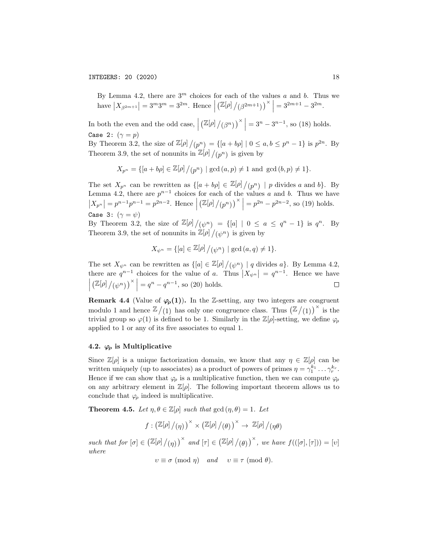By Lemma 4.2, there are  $3<sup>m</sup>$  choices for each of the values a and b. Thus we have  $|X_{\beta^{2m+1}}| = 3^m 3^m = 3^{2m}$ . Hence  $(\mathbb{Z}[\rho]/(\beta^{2m+1}))^{\times}$  =  $3^{2m+1} - 3^{2m}$ .

In both the even and the odd case,  $\vert$  $\left(\mathbb{Z}[\rho]/(\beta^n)\right)^\times\Big| = 3^n - 3^{n-1}$ , so (18) holds. Case 2:  $(\gamma = p)$ 

By Theorem 3.2, the size of  $\mathbb{Z}[\rho]/(p^n) = \{[a+b\rho] \mid 0 \le a, b \le p^n - 1\}$  is  $p^{2n}$ . By Theorem 3.9, the set of nonunits in  $\mathbb{Z}[\rho]/(p^n)$  is given by

$$
X_{p^n} = \{ [a + b\rho] \in \mathbb{Z}[\rho] / (p^n) \mid \gcd(a, p) \neq 1 \text{ and } \gcd(b, p) \neq 1 \}.
$$

The set  $X_{p^n}$  can be rewritten as  $\{[a+b\rho] \in \mathbb{Z}[\rho]/(p^n) \mid p \text{ divides } a \text{ and } b\}.$  By Lemma 4.2, there are  $p^{n-1}$  choices for each of the values a and b. Thus we have  $|X_{p^n}| = p^{n-1}p^{n-1} = p^{2n-2}$ . Hence  $(\mathbb{Z}[\rho]/(p^n))^{\times}$  =  $p^{2n} - p^{2n-2}$ , so (19) holds. Case 3:  $(\gamma = \psi)$ 

By Theorem 3.2, the size of  $\mathbb{Z}[\rho]/(\psi^n) = \{[a] \mid 0 \le a \le q^n - 1\}$  is  $q^n$ . By Theorem 3.9, the set of nonunits in  $\mathbb{Z}[\rho]/(\psi^n)$  is given by

$$
X_{\psi^n} = \{ [a] \in \mathbb{Z}[\rho] / (\psi^n) \mid \gcd(a, q) \neq 1 \}.
$$

The set  $X_{\psi^n}$  can be rewritten as  $\{[a] \in \mathbb{Z}[\rho]/(\psi^n) \mid q \text{ divides } a\}$ . By Lemma 4.2, there are  $q^{n-1}$  choices for the value of a. Thus  $|X_{\psi^n}| = q^{n-1}$ . Hence we have  $\left(\mathbb{Z}[\rho]/(\psi^n)\right)^\times\Big| = q^n - q^{n-1}$ , so (20) holds.  $\Box$ 

**Remark 4.4** (Value of  $\varphi$ <sub>*ρ*</sub>(1)). In the Z-setting, any two integers are congruent modulo 1 and hence  $\mathbb{Z}/(1)$  has only one congruence class. Thus  $\left(\mathbb{Z}/(1)\right)^{\times}$  is the trivial group so  $\varphi(1)$  is defined to be 1. Similarly in the  $\mathbb{Z}[\rho]$ -setting, we define  $\varphi$ applied to 1 or any of its five associates to equal 1.

### 4.2.  $\varphi$  is Multiplicative

Since  $\mathbb{Z}[\rho]$  is a unique factorization domain, we know that any  $\eta \in \mathbb{Z}[\rho]$  can be written uniquely (up to associates) as a product of powers of primes  $\eta = \gamma_1^{k_1} \dots \gamma_r^{k_r}$ . Hence if we can show that  $\varphi$  is a multiplicative function, then we can compute  $\varphi$ on any arbitrary element in  $\mathbb{Z}[\rho]$ . The following important theorem allows us to conclude that  $\varphi$  indeed is multiplicative.

**Theorem 4.5.** Let  $\eta, \theta \in \mathbb{Z}[\rho]$  such that  $\gcd(\eta, \theta) = 1$ . Let

$$
f:\left(\mathbb{Z}[\rho]\big/\!\left(\eta\right)\right)^{\times}\times \left(\mathbb{Z}[\rho]\big/\!\left(\theta\right)\right)^{\times}\rightarrow \mathbb{Z}[\rho]\big/\!\left(\eta\theta\right)
$$

such that for  $[\sigma] \in (\mathbb{Z}[\rho]/(\eta))^{\times}$  and  $[\tau] \in (\mathbb{Z}[\rho]/(\theta))^{\times}$ , we have  $f(([\sigma], [\tau])) = [\upsilon]$ where

 $v \equiv \sigma \pmod{\eta}$  and  $v \equiv \tau \pmod{\theta}$ .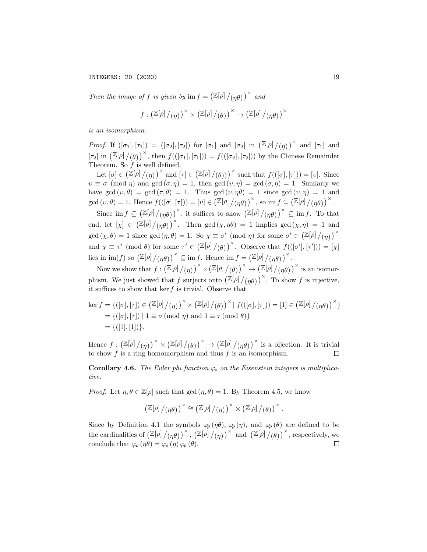Then the image of f is given by  $\text{im } f = \left(\mathbb{Z}[\rho]/(\eta \theta)\right)^{\times}$  and

$$
f:\left(\mathbb{Z}[\rho]/(\eta)\right)^{\times}\times\left(\mathbb{Z}[\rho]/(\theta)\right)^{\times}\to\left(\mathbb{Z}[\rho]/(\eta\theta)\right)^{\times}
$$

is an isomorphism.

*Proof.* If  $([\sigma_1], [\tau_1]) = ([\sigma_2], [\tau_2])$  for  $[\sigma_1]$  and  $[\sigma_2]$  in  $(\mathbb{Z}[\rho]/(\eta))^{\times}$  and  $[\tau_1]$  and [ $\tau_2$ ] in  $\left(\mathbb{Z}[\rho]/(\theta)\right)^{\times}$ , then  $f((\sigma_1], [\tau_1])) = f((\sigma_2], [\tau_2])$  by the Chinese Remainder Theorem. So  $f$  is well defined.

Let  $[\sigma] \in (\mathbb{Z}[\rho]/(\eta))^{\times}$  and  $[\tau] \in (\mathbb{Z}[\rho]/(\theta)))^{\times}$  such that  $f(([\sigma],[\tau])) = [\upsilon]$ . Since  $v \equiv \sigma \pmod{\eta}$  and  $gcd(\sigma, \eta) = 1$ , then  $gcd(v, \eta) = gcd(\sigma, \eta) = 1$ . Similarly we have gcd  $(v, \theta) = \gcd(\tau, \theta) = 1$ . Thus gcd  $(v, \eta \theta) = 1$  since gcd  $(v, \eta) = 1$  and gcd  $(v, \theta) = 1$ . Hence  $f((\lbrack \sigma \rbrack, \lbrack \tau \rbrack)) = [v] \in (\mathbb{Z}[\rho]/(\eta \theta))^{\times}$ , so im  $f \subseteq (\mathbb{Z}[\rho]/(\eta \theta))^{\times}$ .

Since  $\text{im } f \subseteq (\mathbb{Z}[\rho]/(\eta\theta))^\times$ , it suffices to show  $(\mathbb{Z}[\rho]/(\eta\theta))^\times \subseteq \text{im } f$ . To that end, let  $[\chi] \in (\mathbb{Z}[\rho]/(\eta\theta))^\times$ . Then  $\gcd(\chi,\eta\theta) = 1$  implies  $\gcd(\chi,\eta) = 1$  and gcd  $(\chi, \theta) = 1$  since gcd  $(\eta, \theta) = 1$ . So  $\chi \equiv \sigma' \pmod{\eta}$  for some  $\sigma' \in (\mathbb{Z}[\rho]/(\eta))$ <sup>×</sup> and  $\chi \equiv \tau' \pmod{\theta}$  for some  $\tau' \in (\mathbb{Z}[\rho]/(\theta))^\times$ . Observe that  $f(([\sigma'], [\tau']) = [\chi])$ lies in  $\text{im}(f)$  so  $(\mathbb{Z}[\rho]/(\eta\theta))$ <sup>×</sup>  $\subseteq$  im f. Hence  $\text{im } f = (\mathbb{Z}[\rho]/(\eta\theta))$ <sup>×</sup>.

Now we show that  $f: (\mathbb{Z}[\rho]/(\eta))^{\times} \times (\mathbb{Z}[\rho]/(\theta))^{\times} \to (\mathbb{Z}[\rho]/(\eta\theta))^{\times}$  is an isomorphism. We just showed that f surjects onto  $\left(\mathbb{Z}[\rho]/(\eta\theta)\right)^{\times}$ . To show f is injective, it suffices to show that ker  $f$  is trivial. Observe that

$$
\ker f = \{([\sigma], [\tau]) \in (\mathbb{Z}[\rho]/(\eta)) \times (\mathbb{Z}[\rho]/(\theta)) \times |f(([\sigma], [\tau])) = [1] \in (\mathbb{Z}[\rho]/(\eta\theta)) \times \} = \{([\sigma], [\tau]) \mid 1 \equiv \sigma \pmod{\eta} \text{ and } 1 \equiv \tau \pmod{\theta} \} = \{([1], [1])\}.
$$

Hence  $f: (\mathbb{Z}[\rho]/(\eta))^{\times} \times (\mathbb{Z}[\rho]/(\rho))^{\times} \to (\mathbb{Z}[\rho]/(\eta \theta))^{\times}$  is a bijection. It is trivial to show  $f$  is a ring homomorphism and thus  $f$  is an isomorphism.  $\Box$ 

Corollary 4.6. The Euler phi function  $\varphi$  on the Eisenstein integers is multiplicative.

*Proof.* Let  $\eta, \theta \in \mathbb{Z}[\rho]$  such that  $\gcd(\eta, \theta) = 1$ . By Theorem 4.5, we know

$$
\left(\mathbb{Z}[\rho]\mathord{/}(\eta\theta)\right)^\times\cong\left(\mathbb{Z}[\rho]\mathord{/}(\eta)\right)^\times\times\left(\mathbb{Z}[\rho]\mathord{/}(\theta)\right)^\times.
$$

Since by Definition 4.1 the symbols  $\varphi_{\rho}(\eta\theta), \varphi_{\rho}(\eta)$ , and  $\varphi_{\rho}(\theta)$  are defined to be the cardinalities of  $\left(\mathbb{Z}[\rho]/(\eta\theta)\right)^\times$ ,  $\left(\mathbb{Z}[\rho]/(\eta)\right)^\times$  and  $\left(\mathbb{Z}[\rho]/(\theta)\right)^\times$ , respectively, we conclude that  $\varphi_{\rho}(\eta\theta) = \varphi_{\rho}(\eta) \varphi_{\rho}(\theta)$ .  $\Box$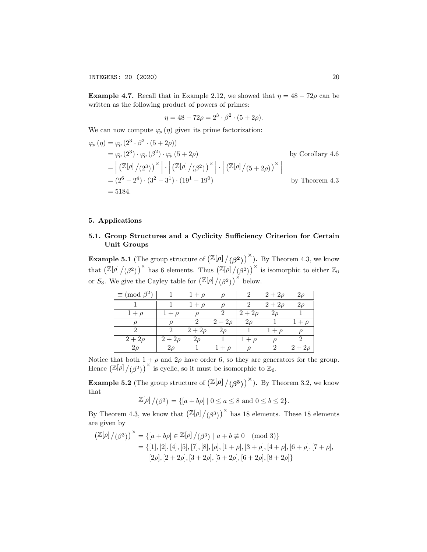**Example 4.7.** Recall that in Example 2.12, we showed that  $\eta = 48 - 72\rho$  can be written as the following product of powers of primes:

$$
\eta = 48 - 72\rho = 2^3 \cdot \beta^2 \cdot (5 + 2\rho).
$$

We can now compute  $\varphi$  ( $\eta$ ) given its prime factorization:

$$
\varphi_{\rho}(\eta) = \varphi_{\rho} (2^3 \cdot \beta^2 \cdot (5 + 2\rho))
$$
  
\n
$$
= \varphi_{\rho} (2^3) \cdot \varphi_{\rho} (\beta^2) \cdot \varphi_{\rho} (5 + 2\rho)
$$
  
\n
$$
= \left| \left( \mathbb{Z}[\rho] / (2^3) \right)^{\times} \right| \cdot \left| \left( \mathbb{Z}[\rho] / (\beta^2) \right)^{\times} \right| \cdot \left| \left( \mathbb{Z}[\rho] / (5 + 2\rho) \right)^{\times} \right|
$$
  
\n
$$
= (2^6 - 2^4) \cdot (3^2 - 3^1) \cdot (19^1 - 19^0)
$$
  
\nby Theorem 4.3  
\nby Theorem 4.3  
\nby Theorem 4.3

### 5. Applications

# 5.1. Group Structures and a Cyclicity Sufficiency Criterion for Certain Unit Groups

**Example 5.1** (The group structure of  $\left(\frac{\mathbb{Z}[\rho]/(\beta^2)}{\beta^2}\right)^{\times}$ ). By Theorem 4.3, we know that  $\left(\mathbb{Z}[\rho]/(\beta^2)\right)^\times$  has 6 elements. Thus  $\left(\mathbb{Z}[\rho]/(\beta^2)\right)^\times$  is isomorphic to either  $\mathbb{Z}_6$ or  $S_3$ . We give the Cayley table for  $\left(\mathbb{Z}[\rho]/(\beta^2)\right)^{\times}$  below.

| $\equiv \pmod{\beta^2}$ |             | $1+\rho$    |             | 2           | $2 + 2\rho$ | $2\rho$     |
|-------------------------|-------------|-------------|-------------|-------------|-------------|-------------|
|                         |             | $1+\rho$    |             |             | $2 + 2\rho$ | 2ρ          |
| $1+\rho$                | $1+\rho$    |             |             | $2 + 2\rho$ | $2\rho$     |             |
|                         |             |             | $2 + 2\rho$ | $2\rho$     |             | $1+\rho$    |
|                         |             | $2 + 2\rho$ | $2\rho$     |             | $1+\rho$    |             |
| $2 + 2\rho$             | $2 + 2\rho$ | $2\rho$     |             | $1+\rho$    |             |             |
| $2\rho$                 | $2\rho$     |             |             |             | 9           | $2 + 2\rho$ |

Notice that both  $1 + \rho$  and  $2\rho$  have order 6, so they are generators for the group. Hence  $\left(\mathbb{Z}[\rho]/(\beta^2)\right)^\times$  is cyclic, so it must be isomorphic to  $\mathbb{Z}_6$ .

**Example 5.2** (The group structure of  $\left(\frac{\mathbb{Z}[\rho]/(\beta^3)}{\beta^3}\right)^{\times}$ ). By Theorem 3.2, we know that

 $\mathbb{Z}[\rho]/(\beta^3) = \{[a + b\rho] \mid 0 \le a \le 8 \text{ and } 0 \le b \le 2\}.$ 

By Theorem 4.3, we know that  $\left(\frac{\mathbb{Z}[\rho]/(\beta^3)}{\beta^3}\right)^{\times}$  has 18 elements. These 18 elements are given by

$$
\left(\mathbb{Z}[\rho]/(\beta^3)\right)^{\times} = \{[a+b\rho] \in \mathbb{Z}[\rho]/(\beta^3) \mid a+b \not\equiv 0 \pmod{3}\}\
$$

$$
= \{[1], [2], [4], [5], [7], [8], [\rho], [1+\rho], [3+\rho], [4+\rho], [6+\rho], [7+\rho], [2\rho], [2+2\rho], [3+2\rho], [5+2\rho], [6+2\rho], [8+2\rho]\}\
$$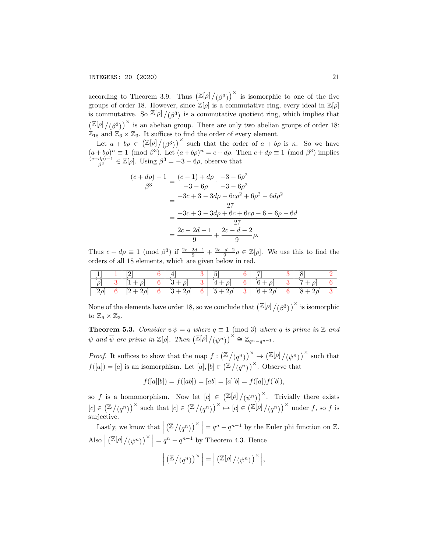according to Theorem 3.9. Thus  $\left(\frac{\mathbb{Z}[\rho]/(\beta^3)}{\beta^3}\right)^{\times}$  is isomorphic to one of the five groups of order 18. However, since  $\mathbb{Z}[\rho]$  is a commutative ring, every ideal in  $\mathbb{Z}[\rho]$ is commutative. So  $\mathbb{Z}[\rho]/(\beta^3)$  is a commutative quotient ring, which implies that  $\left(\mathbb{Z}[\rho]/(\beta^3)\right)^\times$  is an abelian group. There are only two abelian groups of order 18:  $\mathbb{Z}_{18}$  and  $\mathbb{Z}_6 \times \mathbb{Z}_3$ . It suffices to find the order of every element.

Let  $a + b\rho \in (\mathbb{Z}[\rho]/(\beta^3))^{\times}$  such that the order of  $a + b\rho$  is n. So we have  $(a + b\rho)^n \equiv 1 \pmod{\beta^3}$ . Let  $(a + b\rho)^n = c + d\rho$ . Then  $c + d\rho \equiv 1 \pmod{\beta^3}$  implies  $\frac{(c+d\rho)-1}{\beta^3} \in \mathbb{Z}[\rho]$ . Using  $\beta^3 = -3 - 6\rho$ , observe that

$$
\frac{(c+d\rho)-1}{\beta^3} = \frac{(c-1)+d\rho}{-3-6\rho} \cdot \frac{-3-6\rho^2}{-3-6\rho^2}
$$

$$
= \frac{-3c+3-3d\rho - 6c\rho^2 + 6\rho^2 - 6d\rho^2}{27}
$$

$$
= \frac{-3c+3-3d\rho + 6c + 6c\rho - 6 - 6\rho - 6d}{27}
$$

$$
= \frac{2c-2d-1}{9} + \frac{2c-d-2}{9}\rho.
$$

Thus  $c + d\rho \equiv 1 \pmod{\beta^3}$  if  $\frac{2c-2d-1}{9} + \frac{2c-d-2}{9} \rho \in \mathbb{Z}[\rho]$ . We use this to find the orders of all 18 elements, which are given below in red.

| $\overline{1}$        | $\lceil 2 \rceil$                                       | $\lceil 4 \rceil$ | $\lceil 5 \rceil$ | $\lceil 7 \rceil$ | [8]              |  |
|-----------------------|---------------------------------------------------------|-------------------|-------------------|-------------------|------------------|--|
| $\left[\rho\right]$   | $3   [1 + \rho]$                                        | 6   $[3 + \rho]$  | $3   4 + \rho  $  | 6   $[6+\rho]$    | $3   [7 + \rho]$ |  |
| $\lceil 2\rho \rceil$ | 6 $[2+2\rho]$ 6 $[3+2\rho]$ 6 $[5+2\rho]$ 3 $[6+2\rho]$ |                   |                   |                   | 6   $[8+2\rho]$  |  |

None of the elements have order 18, so we conclude that  $\left(\mathbb{Z}[\rho]/(\beta^3)\right)^\times$  is isomorphic to  $\mathbb{Z}_6 \times \mathbb{Z}_3$ .

**Theorem 5.3.** Consider  $\psi \overline{\psi} = q$  where  $q \equiv 1 \pmod{3}$  where q is prime in Z and  $\psi$  and  $\overline{\psi}$  are prime in  $\mathbb{Z}[\rho]$ . Then  $(\mathbb{Z}[\rho]/(\psi^n))^{\times} \cong \mathbb{Z}_{q^n-q^{n-1}}$ .

*Proof.* It suffices to show that the map  $f: (\mathbb{Z}/(q^n))^{\times} \to (\mathbb{Z}[\rho]/(\psi^n))^{\times}$  such that  $f([a]) = [a]$  is an isomorphism. Let  $[a], [b] \in (\mathbb{Z}/(q^n))^{\times}$ . Observe that

$$
f([a][b]) = f([ab]) = [ab] = [a][b] = f([a])f([b]),
$$

so f is a homomorphism. Now let  $[c] \in (\mathbb{Z}[\rho]/(\psi^n))^\times$ . Trivially there exists  $[c] \in (\mathbb{Z}/(q^n))^{\times}$  such that  $[c] \in (\mathbb{Z}/(q^n))^{\times} \mapsto [c] \in (\mathbb{Z}[\rho]/(q^n))^{\times}$  under f, so f is surjective.

Lastly, we know that  $\vert$  $\left(\mathbb{Z}/(q^n)\right)^{\times}$  =  $q^n - q^{n-1}$  by the Euler phi function on  $\mathbb{Z}$ . Also     $\left(\mathbb{Z}[\rho]/(\psi^n)\right)^\times\Big| = q^n - q^{n-1}$  by Theorem 4.3. Hence

$$
\left| \left( \mathbb{Z}/(q^n) \right)^{\times} \right| = \left| \left( \mathbb{Z}[\rho] / (\psi^n) \right)^{\times} \right|,
$$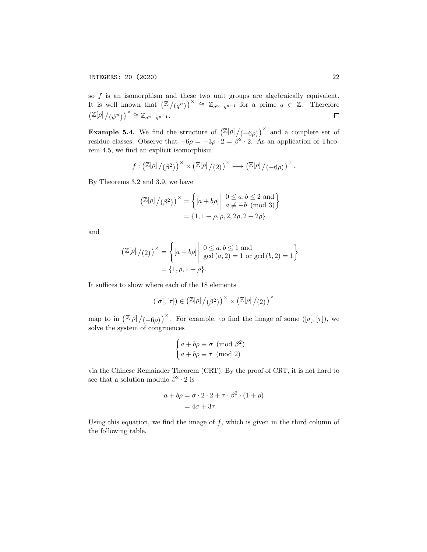so  $f$  is an isomorphism and these two unit groups are algebraically equivalent. It is well known that  $(\mathbb{Z}/(q^n))^{\times} \cong \mathbb{Z}_{q^n-q^{n-1}}$  for a prime  $q \in \mathbb{Z}$ . Therefore  $\left(\mathbb{Z}[\rho]/(\psi^n)\right)^{\times} \cong \mathbb{Z}_{q^n-q^{n-1}}.$ 

**Example 5.4.** We find the structure of  $\left(\frac{\mathbb{Z}[\rho]}{(-6\rho)}\right)^{\times}$  and a complete set of residue classes. Observe that  $-6\rho = -3\rho \cdot 2 = \beta^2 \cdot 2$ . As an application of Theorem 4.5, we find an explicit isomorphism

$$
f:\left(\mathbb{Z}[\rho]/(\beta^2)\right)^{\times}\times\left(\mathbb{Z}[\rho]/(2)\right)^{\times}\longmapsto\left(\mathbb{Z}[\rho]/(-6\rho)\right)^{\times}.
$$

By Theorems 3.2 and 3.9, we have

$$
\left(\mathbb{Z}[\rho]/(\beta^2)\right)^{\times} = \left\{ [a+b\rho] \middle| \begin{array}{l} 0 \le a, b \le 2 \text{ and} \\ a \not\equiv -b \pmod{3} \end{array} \right\}
$$

$$
= \{1, 1+\rho, \rho, 2, 2\rho, 2+2\rho\}
$$

and

$$
\left(\mathbb{Z}[\rho]/(2)\right)^{\times} = \left\{ [a+b\rho] \middle| \begin{array}{l} 0 \le a, b \le 1 \text{ and} \\ \gcd(a, 2) = 1 \text{ or } \gcd(b, 2) = 1 \end{array} \right\}
$$

$$
= \{1, \rho, 1 + \rho\}.
$$

It suffices to show where each of the 18 elements

$$
\left([\sigma],[\tau]\right)\in\left(\mathbb{Z}[\rho]\mathop{/}(\beta^2)\right)^\times\times\left(\mathbb{Z}[\rho]\mathop{/}(2)\right)^\times
$$

map to in  $\left(\mathbb{Z}[\rho]/(-6\rho)\right)^{\times}$ . For example, to find the image of some  $([\sigma],[\tau])$ , we solve the system of congruences

$$
\begin{cases} a + b\rho \equiv \sigma \pmod{\beta^2} \\ a + b\rho \equiv \tau \pmod{2} \end{cases}
$$

via the Chinese Remainder Theorem (CRT). By the proof of CRT, it is not hard to see that a solution modulo  $\beta^2 \cdot 2$  is

$$
a + b\rho = \sigma \cdot 2 \cdot 2 + \tau \cdot \beta^2 \cdot (1 + \rho)
$$

$$
= 4\sigma + 3\tau.
$$

Using this equation, we find the image of  $f$ , which is given in the third column of the following table.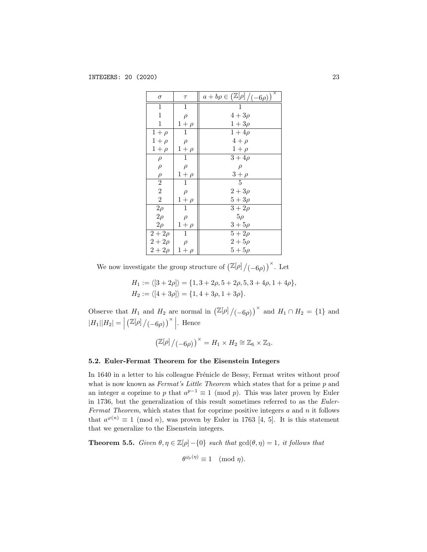| $\sigma$       | $\tau$         | $\overline{\mathsf{x}}$<br>$a+b\rho\in\left(\mathbb{Z}[\rho]/(-6\rho)\right)$ |
|----------------|----------------|-------------------------------------------------------------------------------|
| 1              | 1              | 1                                                                             |
| $\mathbf 1$    | $\rho$         | $4+3\rho$                                                                     |
| $\mathbf{1}$   | $1+\rho$       | $1+3\rho$                                                                     |
| $1+\rho$       | $\mathbf 1$    | $1 + 4\rho$                                                                   |
| $1+\rho$       | $\rho$         | $4+\rho$                                                                      |
| $1+\rho$       | $1+\rho$       | $1+\rho$                                                                      |
| $\rho$         | $\mathbf 1$    | $3+4\rho$                                                                     |
| $\rho$         | $\rho$         | $\rho$                                                                        |
| $\rho$         | $1+\rho$       | $3+\rho$                                                                      |
| $\overline{2}$ | $\overline{1}$ | $\overline{5}$                                                                |
| $\overline{2}$ | $\rho$         | $2 + 3\rho$                                                                   |
| $\overline{2}$ | $1+\rho$       | $5+3\rho$                                                                     |
| $\bar{2}\rho$  | $\mathbf{1}$   | $\overline{3}+2\rho$                                                          |
| $2\rho$        | $\rho$         | $5\rho$                                                                       |
| $2\rho$        | $1+\rho$       | $3 + 5\rho$                                                                   |
| $2 + 2\rho$    | $\mathbf{1}$   | $5 + 2\rho$                                                                   |
| $2 + 2\rho$    | $\rho$         | $2 + 5\rho$                                                                   |
| $2 + 2\rho$    | $1+\rho$       | $5+5\rho$                                                                     |

We now investigate the group structure of  $\left(\mathbb{Z}[\rho]/(-6\rho)\right)^{\times}$ . Let

$$
H_1 := \langle [3+2\rho] \rangle = \{1, 3+2\rho, 5+2\rho, 5, 3+4\rho, 1+4\rho\},
$$
  

$$
H_2 := \langle [4+3\rho] \rangle = \{1, 4+3\rho, 1+3\rho\}.
$$

Observe that  $H_1$  and  $H_2$  are normal in  $(\mathbb{Z}[\rho]/(-6\rho))^{\times}$  and  $H_1 \cap H_2 = \{1\}$  and  $|H_1||H_2| = |$  $\left(\mathbb{Z}[\rho]/(-6\rho)\right)^{\times}$ . Hence

$$
\left(\mathbb{Z}[\rho]/(-6\rho)\right)^{\times} = H_1 \times H_2 \cong \mathbb{Z}_6 \times \mathbb{Z}_3.
$$

### 5.2. Euler-Fermat Theorem for the Eisenstein Integers

In 1640 in a letter to his colleague Frénicle de Bessy, Fermat writes without proof what is now known as *Fermat's Little Theorem* which states that for a prime p and an integer a coprime to p that  $a^{p-1} \equiv 1 \pmod{p}$ . This was later proven by Euler in 1736, but the generalization of this result sometimes referred to as the Euler-Fermat Theorem, which states that for coprime positive integers  $a$  and  $n$  it follows that  $a^{\varphi(n)} \equiv 1 \pmod{n}$ , was proven by Euler in 1763 [4, 5]. It is this statement that we generalize to the Eisenstein integers.

**Theorem 5.5.** Given  $\theta, \eta \in \mathbb{Z}[\rho] - \{0\}$  such that  $\gcd(\theta, \eta) = 1$ , it follows that

$$
\theta^{\varphi_{\rho}(\eta)} \equiv 1 \pmod{\eta}.
$$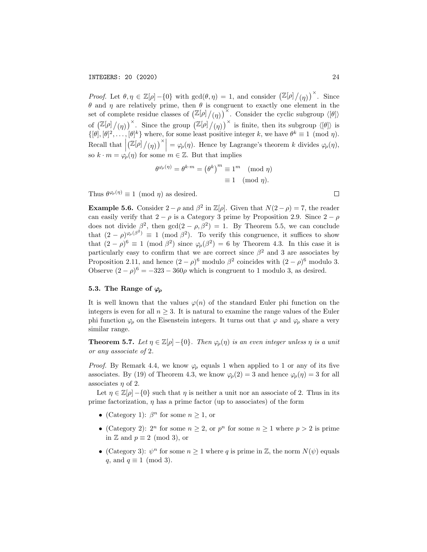Proof. Let  $\theta, \eta \in \mathbb{Z}[\rho] - \{0\}$  with  $gcd(\theta, \eta) = 1$ , and consider  $(\mathbb{Z}[\rho]/(\eta))^{\times}$ . Since θ and η are relatively prime, then θ is congruent to exactly one element in the set of complete residue classes of  $\left(\mathbb{Z}[\rho]/(\eta)\right)^{\times}$ . Consider the cyclic subgroup  $\langle [\theta] \rangle$ of  $\left(\mathbb{Z}[\rho]/(\eta)\right)^{\times}$ . Since the group  $\left(\mathbb{Z}[\rho]/(\eta)\right)^{\times}$  is finite, then its subgroup  $\langle [\theta] \rangle$  is  $\{[\theta], [\theta]^2, \ldots, [\theta]^k\}$  where, for some least positive integer k, we have  $\theta^k \equiv 1 \pmod{\eta}$ . Recall that  $\Big|$  $\left(\mathbb{Z}[\rho]/(\eta)\right)^{\times} = \varphi_{\rho}(\eta)$ . Hence by Lagrange's theorem k divides  $\varphi_{\rho}(\eta)$ , so  $k \cdot m = \varphi_{\rho}(\eta)$  for some  $m \in \mathbb{Z}$ . But that implies

$$
\theta^{\varphi_{\rho}(\eta)} = \theta^{k \cdot m} = (\theta^k)^m \equiv 1^m \pmod{\eta}
$$

$$
\equiv 1 \pmod{\eta}.
$$

Thus  $\theta^{\varphi_{\rho}(\eta)} \equiv 1 \pmod{\eta}$  as desired.

**Example 5.6.** Consider  $2 - \rho$  and  $\beta^2$  in  $\mathbb{Z}[\rho]$ . Given that  $N(2 - \rho) = 7$ , the reader can easily verify that  $2 - \rho$  is a Category 3 prime by Proposition 2.9. Since  $2 - \rho$ does not divide  $\beta^2$ , then  $gcd(2-\rho,\beta^2)=1$ . By Theorem 5.5, we can conclude that  $(2 - \rho)^{\varphi_{\rho}(\beta^2)} \equiv 1 \pmod{\beta^2}$ . To verify this congruence, it suffices to show that  $(2 - \rho)^6 \equiv 1 \pmod{\beta^2}$  since  $\varphi_\rho(\beta^2) = 6$  by Theorem 4.3. In this case it is particularly easy to confirm that we are correct since  $\beta^2$  and 3 are associates by Proposition 2.11, and hence  $(2 - \rho)^6$  modulo  $\beta^2$  coincides with  $(2 - \rho)^6$  modulo 3. Observe  $(2 - \rho)^6 = -323 - 360\rho$  which is congruent to 1 modulo 3, as desired.

### 5.3. The Range of  $\varphi$

It is well known that the values  $\varphi(n)$  of the standard Euler phi function on the integers is even for all  $n \geq 3$ . It is natural to examine the range values of the Euler phi function  $\varphi$  on the Eisenstein integers. It turns out that  $\varphi$  and  $\varphi$  share a very similar range.

**Theorem 5.7.** Let  $\eta \in \mathbb{Z}[\rho] - \{0\}$ . Then  $\varphi_{\rho}(\eta)$  is an even integer unless  $\eta$  is a unit or any associate of 2.

*Proof.* By Remark 4.4, we know  $\varphi$  equals 1 when applied to 1 or any of its five associates. By (19) of Theorem 4.3, we know  $\varphi_{\rho}(2) = 3$  and hence  $\varphi_{\rho}(\eta) = 3$  for all associates  $\eta$  of 2.

Let  $\eta \in \mathbb{Z}[\rho] - \{0\}$  such that  $\eta$  is neither a unit nor an associate of 2. Thus in its prime factorization,  $\eta$  has a prime factor (up to associates) of the form

- (Category 1):  $\beta^n$  for some  $n \geq 1$ , or
- (Category 2):  $2^n$  for some  $n \geq 2$ , or  $p^n$  for some  $n \geq 1$  where  $p > 2$  is prime in  $\mathbb Z$  and  $p \equiv 2 \pmod{3}$ , or
- (Category 3):  $\psi^n$  for some  $n \geq 1$  where q is prime in Z, the norm  $N(\psi)$  equals q, and  $q \equiv 1 \pmod{3}$ .

 $\Box$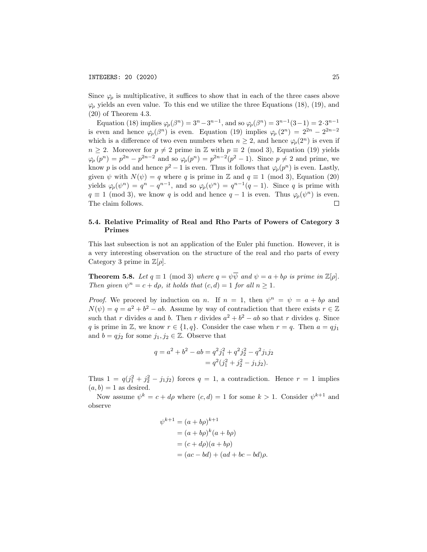Since  $\varphi$  is multiplicative, it suffices to show that in each of the three cases above  $\varphi$  yields an even value. To this end we utilize the three Equations (18), (19), and (20) of Theorem 4.3.

Equation (18) implies  $\varphi_{\rho}(\beta^n) = 3^n - 3^{n-1}$ , and so  $\varphi_{\rho}(\beta^n) = 3^{n-1}(3-1) = 2 \cdot 3^{n-1}$ is even and hence  $\varphi_{\rho}(\beta^n)$  is even. Equation (19) implies  $\varphi_{\rho}(2^n) = 2^{2n} - 2^{2n-2}$ which is a difference of two even numbers when  $n \geq 2$ , and hence  $\varphi_o(2^n)$  is even if  $n \geq 2$ . Moreover for  $p \neq 2$  prime in Z with  $p \equiv 2 \pmod{3}$ , Equation (19) yields  $\varphi_p(p^n) = p^{2n} - p^{2n-2}$  and so  $\varphi_p(p^n) = p^{2n-2}(p^2 - 1)$ . Since  $p \neq 2$  and prime, we know p is odd and hence  $p^2 - 1$  is even. Thus it follows that  $\varphi_p(p^n)$  is even. Lastly, given  $\psi$  with  $N(\psi) = q$  where q is prime in Z and  $q \equiv 1 \pmod{3}$ , Equation (20) yields  $\varphi_{\rho}(\psi^n) = q^n - q^{n-1}$ , and so  $\varphi_{\rho}(\psi^n) = q^{n-1}(q-1)$ . Since q is prime with  $q \equiv 1 \pmod{3}$ , we know q is odd and hence  $q-1$  is even. Thus  $\varphi_{p}(\psi^{n})$  is even. The claim follows.  $\Box$ 

# 5.4. Relative Primality of Real and Rho Parts of Powers of Category 3 Primes

This last subsection is not an application of the Euler phi function. However, it is a very interesting observation on the structure of the real and rho parts of every Category 3 prime in  $\mathbb{Z}[\rho]$ .

**Theorem 5.8.** Let  $q \equiv 1 \pmod{3}$  where  $q = \psi \overline{\psi}$  and  $\psi = a + bp$  is prime in  $\mathbb{Z}[\rho]$ . Then given  $\psi^n = c + d\rho$ , it holds that  $(c, d) = 1$  for all  $n \geq 1$ .

*Proof.* We proceed by induction on n. If  $n = 1$ , then  $\psi^n = \psi = a + b\rho$  and  $N(\psi) = q = a^2 + b^2 - ab$ . Assume by way of contradiction that there exists  $r \in \mathbb{Z}$ such that r divides a and b. Then r divides  $a^2 + b^2 - ab$  so that r divides q. Since q is prime in Z, we know  $r \in \{1, q\}$ . Consider the case when  $r = q$ . Then  $a = qj_1$ and  $b = qj_2$  for some  $j_1, j_2 \in \mathbb{Z}$ . Observe that

$$
q = a2 + b2 - ab = q2j12 + q2j22 - q2j1j2
$$
  
= q<sup>2</sup>(j<sub>1</sub><sup>2</sup> + j<sub>2</sub><sup>2</sup> - j<sub>1</sub>j<sub>2</sub>).

Thus  $1 = q(j_1^2 + j_2^2 - j_1j_2)$  forces  $q = 1$ , a contradiction. Hence  $r = 1$  implies  $(a, b) = 1$  as desired.

Now assume  $\psi^k = c + d\rho$  where  $(c, d) = 1$  for some  $k > 1$ . Consider  $\psi^{k+1}$  and observe

$$
\psi^{k+1} = (a+b\rho)^{k+1}
$$
  
=  $(a+b\rho)^k (a+b\rho)$   
=  $(c+d\rho)(a+b\rho)$   
=  $(ac-bd) + (ad+bc-bd)\rho$ .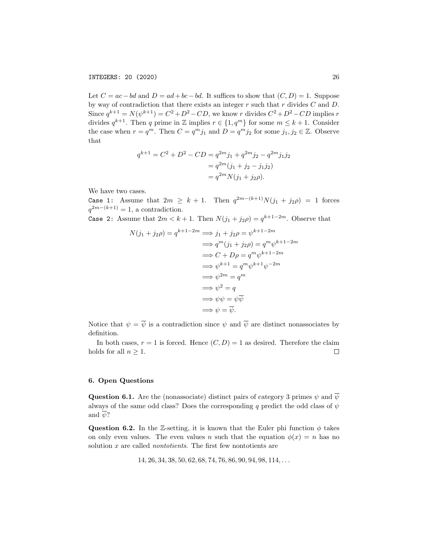Let  $C = ac - bd$  and  $D = ad + bc - bd$ . It suffices to show that  $(C, D) = 1$ . Suppose by way of contradiction that there exists an integer  $r$  such that  $r$  divides  $C$  and  $D$ . Since  $q^{k+1} = N(\psi^{k+1}) = C^2 + D^2 - CD$ , we know r divides  $C^2 + D^2 - CD$  implies r divides  $q^{k+1}$ . Then q prime in Z implies  $r \in \{1, q^m\}$  for some  $m \leq k+1$ . Consider the case when  $r = q^m$ . Then  $C = q^m j_1$  and  $D = q^m j_2$  for some  $j_1, j_2 \in \mathbb{Z}$ . Observe that

$$
q^{k+1} = C^2 + D^2 - CD = q^{2m}j_1 + q^{2m}j_2 - q^{2m}j_1j_2
$$
  
= 
$$
q^{2m}(j_1 + j_2 - j_1j_2)
$$
  
= 
$$
q^{2m}N(j_1 + j_2\rho).
$$

We have two cases.

Case 1: Assume that  $2m \geq k+1$ . Then  $q^{2m-(k+1)}N(j_1+j_2\rho) = 1$  forces  $q^{2m-(k+1)}=1$ , a contradiction.

Case 2: Assume that  $2m < k+1$ . Then  $N(j_1 + j_2 \rho) = q^{k+1-2m}$ . Observe that

$$
N(j_1 + j_2 \rho) = q^{k+1-2m} \implies j_1 + j_2 \rho = \psi^{k+1-2m}
$$
  
\n
$$
\implies q^m(j_1 + j_2 \rho) = q^m \psi^{k+1-2m}
$$
  
\n
$$
\implies C + D\rho = q^m \psi^{k+1-2m}
$$
  
\n
$$
\implies \psi^{k+1} = q^m \psi^{k+1} \psi^{-2m}
$$
  
\n
$$
\implies \psi^{2m} = q^m
$$
  
\n
$$
\implies \psi^2 = q
$$
  
\n
$$
\implies \psi \psi = \psi \overline{\psi}
$$
  
\n
$$
\implies \psi = \overline{\psi}.
$$

Notice that  $\psi = \overline{\psi}$  is a contradiction since  $\psi$  and  $\overline{\psi}$  are distinct nonassociates by definition.

In both cases,  $r = 1$  is forced. Hence  $(C, D) = 1$  as desired. Therefore the claim holds for all  $n \geq 1$ .  $\Box$ 

### 6. Open Questions

**Question 6.1.** Are the (nonassociate) distinct pairs of category 3 primes  $\psi$  and  $\overline{\psi}$ always of the same odd class? Does the corresponding q predict the odd class of  $\psi$ and  $\overline{\psi}$ ?

Question 6.2. In the Z-setting, it is known that the Euler phi function  $\phi$  takes on only even values. The even values n such that the equation  $\phi(x) = n$  has no solution x are called *nontotients*. The first few nontotients are

$$
14, 26, 34, 38, 50, 62, 68, 74, 76, 86, 90, 94, 98, 114, \ldots
$$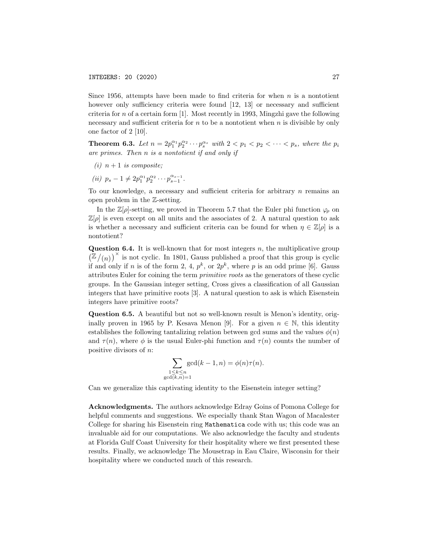Since 1956, attempts have been made to find criteria for when  $n$  is a nontotient however only sufficiency criteria were found [12, 13] or necessary and sufficient criteria for n of a certain form  $[1]$ . Most recently in 1993, Mingzhi gave the following necessary and sufficient criteria for  $n$  to be a nontotient when  $n$  is divisible by only one factor of 2 [10].

**Theorem 6.3.** Let  $n = 2p_1^{\alpha_1}p_2^{\alpha_2} \cdots p_s^{\alpha_s}$  with  $2 < p_1 < p_2 < \cdots < p_s$ , where the  $p_i$ are primes. Then n is a nontotient if and only if

- (i)  $n+1$  is composite;
- (*ii*)  $p_s 1 \neq 2p_1^{\alpha_1}p_2^{\alpha_2} \cdots p_{s-1}^{\alpha_{s-1}}.$

To our knowledge, a necessary and sufficient criteria for arbitrary n remains an open problem in the Z-setting.

In the  $\mathbb{Z}[\rho]$ -setting, we proved in Theorem 5.7 that the Euler phi function  $\varphi_{\rho}$  on  $\mathbb{Z}[\rho]$  is even except on all units and the associates of 2. A natural question to ask is whether a necessary and sufficient criteria can be found for when  $\eta \in \mathbb{Z}[\rho]$  is a nontotient?

**Question 6.4.** It is well-known that for most integers  $n$ , the multiplicative group  $(\mathbb{Z}/(n))^{\times}$  is not cyclic. In 1801, Gauss published a proof that this group is cyclic if and only if n is of the form 2, 4,  $p^k$ , or  $2p^k$ , where p is an odd prime [6]. Gauss attributes Euler for coining the term primitive roots as the generators of these cyclic groups. In the Gaussian integer setting, Cross gives a classification of all Gaussian integers that have primitive roots [3]. A natural question to ask is which Eisenstein integers have primitive roots?

Question 6.5. A beautiful but not so well-known result is Menon's identity, originally proven in 1965 by P. Kesava Menon [9]. For a given  $n \in \mathbb{N}$ , this identity establishes the following tantalizing relation between gcd sums and the values  $\phi(n)$ and  $\tau(n)$ , where  $\phi$  is the usual Euler-phi function and  $\tau(n)$  counts the number of positive divisors of n:

$$
\sum_{\substack{1 \le k \le n \\ \text{d}(k,n)=1}} \gcd(k-1,n) = \phi(n)\tau(n).
$$

Can we generalize this captivating identity to the Eisenstein integer setting?

gcd

Acknowledgments. The authors acknowledge Edray Goins of Pomona College for helpful comments and suggestions. We especially thank Stan Wagon of Macalester College for sharing his Eisenstein ring Mathematica code with us; this code was an invaluable aid for our computations. We also acknowledge the faculty and students at Florida Gulf Coast University for their hospitality where we first presented these results. Finally, we acknowledge The Mousetrap in Eau Claire, Wisconsin for their hospitality where we conducted much of this research.